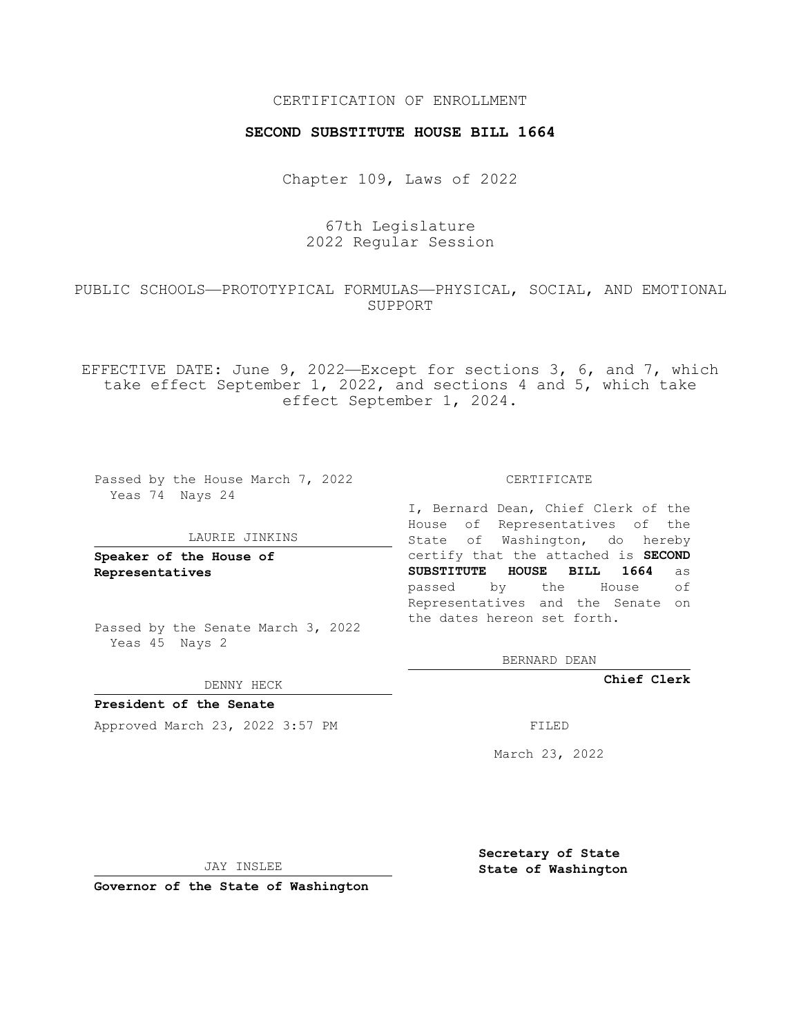## CERTIFICATION OF ENROLLMENT

### **SECOND SUBSTITUTE HOUSE BILL 1664**

Chapter 109, Laws of 2022

67th Legislature 2022 Regular Session

## PUBLIC SCHOOLS—PROTOTYPICAL FORMULAS—PHYSICAL, SOCIAL, AND EMOTIONAL SUPPORT

EFFECTIVE DATE: June 9, 2022—Except for sections 3, 6, and 7, which take effect September 1, 2022, and sections 4 and 5, which take effect September 1, 2024.

Passed by the House March 7, 2022 Yeas 74 Nays 24

#### LAURIE JINKINS

**Speaker of the House of Representatives**

Passed by the Senate March 3, 2022 Yeas 45 Nays 2

DENNY HECK

**President of the Senate** Approved March 23, 2022 3:57 PM FILED

CERTIFICATE

I, Bernard Dean, Chief Clerk of the House of Representatives of the State of Washington, do hereby certify that the attached is **SECOND SUBSTITUTE HOUSE BILL 1664** as passed by the House of Representatives and the Senate on the dates hereon set forth.

BERNARD DEAN

**Chief Clerk**

March 23, 2022

JAY INSLEE

**Governor of the State of Washington**

**Secretary of State State of Washington**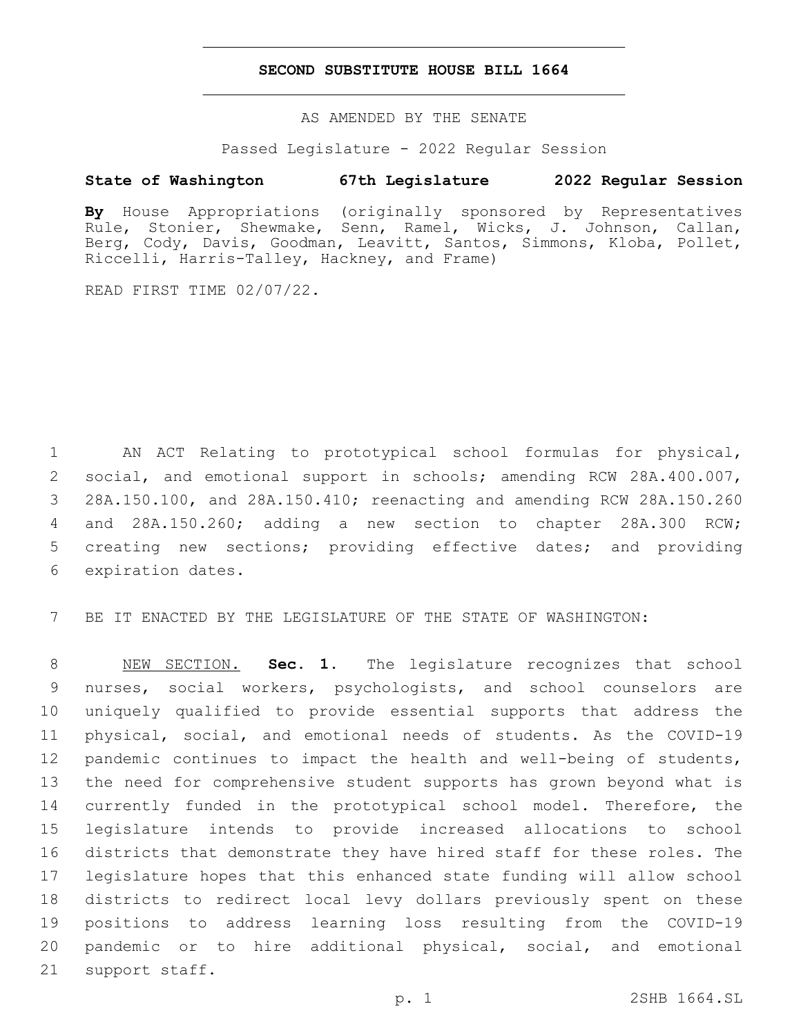### **SECOND SUBSTITUTE HOUSE BILL 1664**

AS AMENDED BY THE SENATE

Passed Legislature - 2022 Regular Session

# **State of Washington 67th Legislature 2022 Regular Session**

**By** House Appropriations (originally sponsored by Representatives Rule, Stonier, Shewmake, Senn, Ramel, Wicks, J. Johnson, Callan, Berg, Cody, Davis, Goodman, Leavitt, Santos, Simmons, Kloba, Pollet, Riccelli, Harris-Talley, Hackney, and Frame)

READ FIRST TIME 02/07/22.

 AN ACT Relating to prototypical school formulas for physical, social, and emotional support in schools; amending RCW 28A.400.007, 28A.150.100, and 28A.150.410; reenacting and amending RCW 28A.150.260 and 28A.150.260; adding a new section to chapter 28A.300 RCW; creating new sections; providing effective dates; and providing 6 expiration dates.

BE IT ENACTED BY THE LEGISLATURE OF THE STATE OF WASHINGTON:

 NEW SECTION. **Sec. 1.** The legislature recognizes that school nurses, social workers, psychologists, and school counselors are uniquely qualified to provide essential supports that address the physical, social, and emotional needs of students. As the COVID-19 pandemic continues to impact the health and well-being of students, the need for comprehensive student supports has grown beyond what is 14 currently funded in the prototypical school model. Therefore, the legislature intends to provide increased allocations to school districts that demonstrate they have hired staff for these roles. The legislature hopes that this enhanced state funding will allow school districts to redirect local levy dollars previously spent on these positions to address learning loss resulting from the COVID-19 pandemic or to hire additional physical, social, and emotional support staff.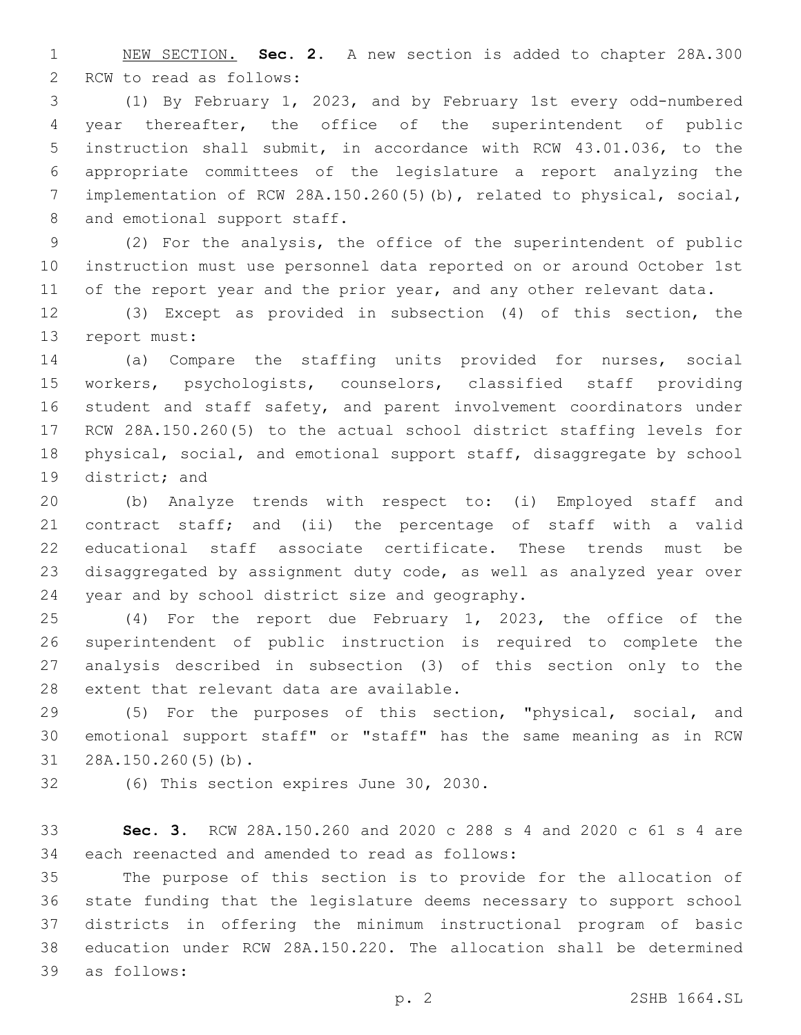NEW SECTION. **Sec. 2.** A new section is added to chapter 28A.300 2 RCW to read as follows:

 (1) By February 1, 2023, and by February 1st every odd-numbered year thereafter, the office of the superintendent of public instruction shall submit, in accordance with RCW 43.01.036, to the appropriate committees of the legislature a report analyzing the implementation of RCW 28A.150.260(5)(b), related to physical, social, 8 and emotional support staff.

 (2) For the analysis, the office of the superintendent of public instruction must use personnel data reported on or around October 1st 11 of the report year and the prior year, and any other relevant data.

 (3) Except as provided in subsection (4) of this section, the 13 report must:

 (a) Compare the staffing units provided for nurses, social workers, psychologists, counselors, classified staff providing student and staff safety, and parent involvement coordinators under RCW 28A.150.260(5) to the actual school district staffing levels for physical, social, and emotional support staff, disaggregate by school 19 district; and

 (b) Analyze trends with respect to: (i) Employed staff and contract staff; and (ii) the percentage of staff with a valid educational staff associate certificate. These trends must be disaggregated by assignment duty code, as well as analyzed year over 24 year and by school district size and geography.

 (4) For the report due February 1, 2023, the office of the superintendent of public instruction is required to complete the analysis described in subsection (3) of this section only to the 28 extent that relevant data are available.

 (5) For the purposes of this section, "physical, social, and emotional support staff" or "staff" has the same meaning as in RCW 31 28A.150.260(5)(b).

32 (6) This section expires June 30, 2030.

 **Sec. 3.** RCW 28A.150.260 and 2020 c 288 s 4 and 2020 c 61 s 4 are 34 each reenacted and amended to read as follows:

 The purpose of this section is to provide for the allocation of state funding that the legislature deems necessary to support school districts in offering the minimum instructional program of basic education under RCW 28A.150.220. The allocation shall be determined as follows:39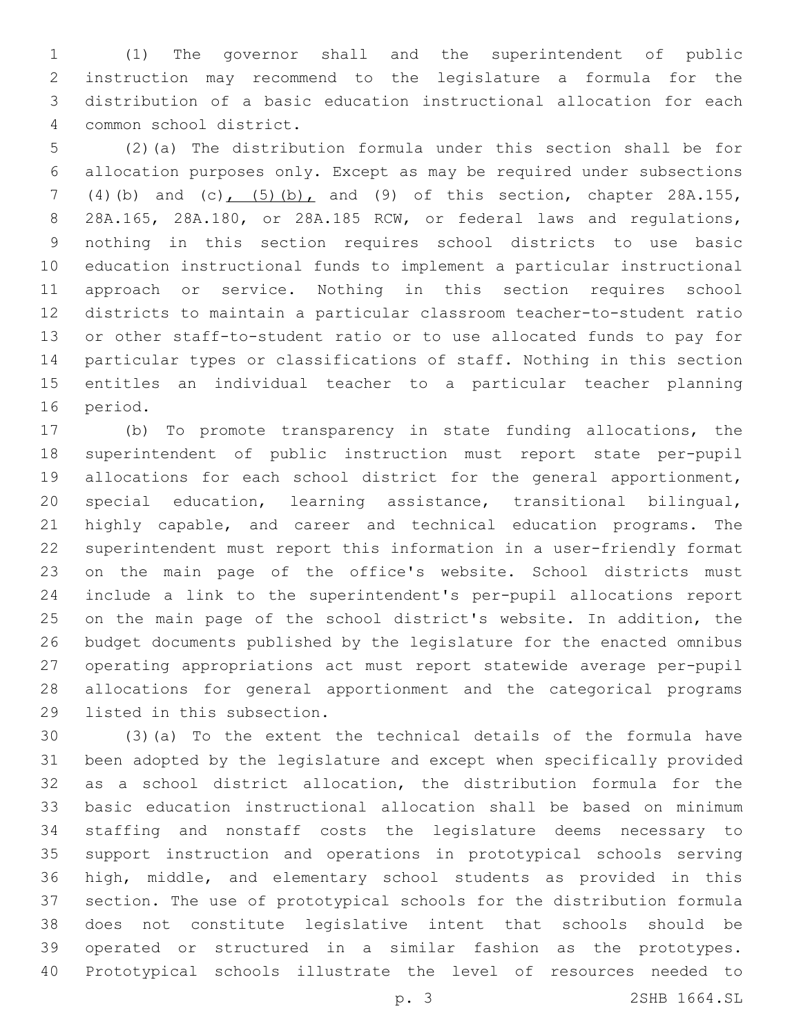(1) The governor shall and the superintendent of public instruction may recommend to the legislature a formula for the distribution of a basic education instructional allocation for each common school district.4

 (2)(a) The distribution formula under this section shall be for allocation purposes only. Except as may be required under subsections (4)(b) and (c), (5)(b), and (9) of this section, chapter 28A.155, 28A.165, 28A.180, or 28A.185 RCW, or federal laws and regulations, nothing in this section requires school districts to use basic education instructional funds to implement a particular instructional approach or service. Nothing in this section requires school districts to maintain a particular classroom teacher-to-student ratio or other staff-to-student ratio or to use allocated funds to pay for particular types or classifications of staff. Nothing in this section entitles an individual teacher to a particular teacher planning 16 period.

 (b) To promote transparency in state funding allocations, the superintendent of public instruction must report state per-pupil allocations for each school district for the general apportionment, special education, learning assistance, transitional bilingual, highly capable, and career and technical education programs. The superintendent must report this information in a user-friendly format on the main page of the office's website. School districts must include a link to the superintendent's per-pupil allocations report on the main page of the school district's website. In addition, the budget documents published by the legislature for the enacted omnibus operating appropriations act must report statewide average per-pupil allocations for general apportionment and the categorical programs 29 listed in this subsection.

 (3)(a) To the extent the technical details of the formula have been adopted by the legislature and except when specifically provided as a school district allocation, the distribution formula for the basic education instructional allocation shall be based on minimum staffing and nonstaff costs the legislature deems necessary to support instruction and operations in prototypical schools serving high, middle, and elementary school students as provided in this section. The use of prototypical schools for the distribution formula does not constitute legislative intent that schools should be operated or structured in a similar fashion as the prototypes. Prototypical schools illustrate the level of resources needed to

p. 3 2SHB 1664.SL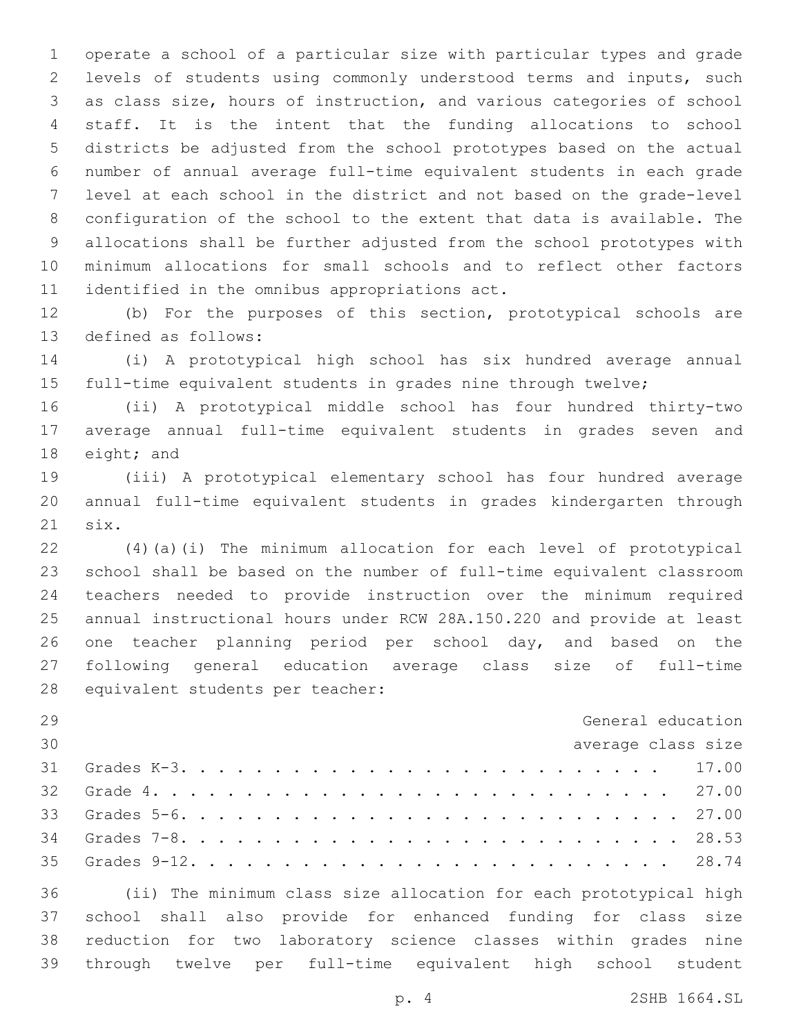operate a school of a particular size with particular types and grade levels of students using commonly understood terms and inputs, such as class size, hours of instruction, and various categories of school staff. It is the intent that the funding allocations to school districts be adjusted from the school prototypes based on the actual number of annual average full-time equivalent students in each grade level at each school in the district and not based on the grade-level configuration of the school to the extent that data is available. The allocations shall be further adjusted from the school prototypes with minimum allocations for small schools and to reflect other factors 11 identified in the omnibus appropriations act.

 (b) For the purposes of this section, prototypical schools are 13 defined as follows:

 (i) A prototypical high school has six hundred average annual full-time equivalent students in grades nine through twelve;

 (ii) A prototypical middle school has four hundred thirty-two average annual full-time equivalent students in grades seven and 18 eight; and

 (iii) A prototypical elementary school has four hundred average annual full-time equivalent students in grades kindergarten through 21 six.

 (4)(a)(i) The minimum allocation for each level of prototypical school shall be based on the number of full-time equivalent classroom teachers needed to provide instruction over the minimum required annual instructional hours under RCW 28A.150.220 and provide at least one teacher planning period per school day, and based on the following general education average class size of full-time 28 equivalent students per teacher:

| 29 | General education                                                                                                                                                                                                                                       |
|----|---------------------------------------------------------------------------------------------------------------------------------------------------------------------------------------------------------------------------------------------------------|
| 30 | average class size                                                                                                                                                                                                                                      |
|    |                                                                                                                                                                                                                                                         |
|    |                                                                                                                                                                                                                                                         |
|    |                                                                                                                                                                                                                                                         |
|    |                                                                                                                                                                                                                                                         |
|    |                                                                                                                                                                                                                                                         |
|    | $\overline{\bullet}\,\overline{\bullet}$ , and the set of the set of the set of the set of the set of the set of the set of the set of the set of the set of the set of the set of the set of the set of the set of the set of the set of the set of th |

 (ii) The minimum class size allocation for each prototypical high school shall also provide for enhanced funding for class size reduction for two laboratory science classes within grades nine through twelve per full-time equivalent high school student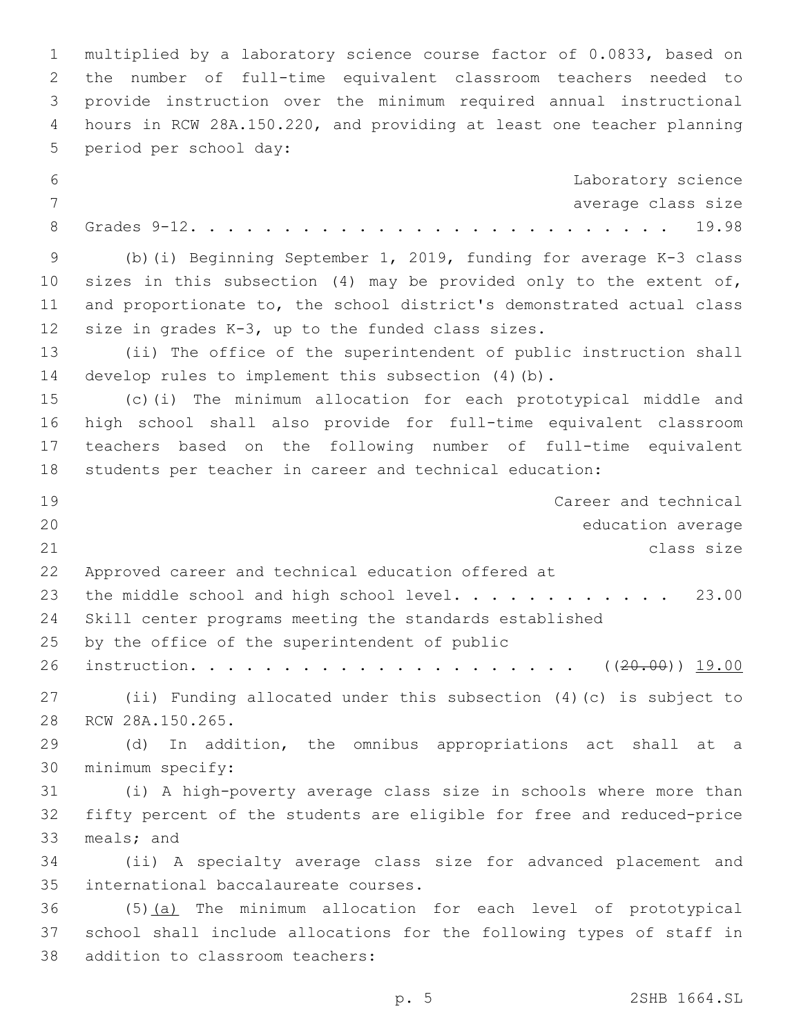multiplied by a laboratory science course factor of 0.0833, based on the number of full-time equivalent classroom teachers needed to provide instruction over the minimum required annual instructional hours in RCW 28A.150.220, and providing at least one teacher planning 5 period per school day: Laboratory science 7 average class size Grades 9-12. . . . . . . . . . . . . . . . . . . . . . . . . . 19.98 (b)(i) Beginning September 1, 2019, funding for average K-3 class sizes in this subsection (4) may be provided only to the extent of, and proportionate to, the school district's demonstrated actual class 12 size in grades  $K-3$ , up to the funded class sizes. (ii) The office of the superintendent of public instruction shall develop rules to implement this subsection (4)(b). (c)(i) The minimum allocation for each prototypical middle and high school shall also provide for full-time equivalent classroom teachers based on the following number of full-time equivalent students per teacher in career and technical education: Career and technical education average class size Approved career and technical education offered at 23 the middle school and high school level. . . . . . . . . . . 23.00 Skill center programs meeting the standards established 25 by the office of the superintendent of public instruction. . . . . . . . . . . . . . . . . . . . . ((20.00)) 19.00 (ii) Funding allocated under this subsection (4)(c) is subject to 28 RCW 28A.150.265. (d) In addition, the omnibus appropriations act shall at a 30 minimum specify: (i) A high-poverty average class size in schools where more than fifty percent of the students are eligible for free and reduced-price 33 meals; and (ii) A specialty average class size for advanced placement and 35 international baccalaureate courses. (5)(a) The minimum allocation for each level of prototypical school shall include allocations for the following types of staff in 38 addition to classroom teachers: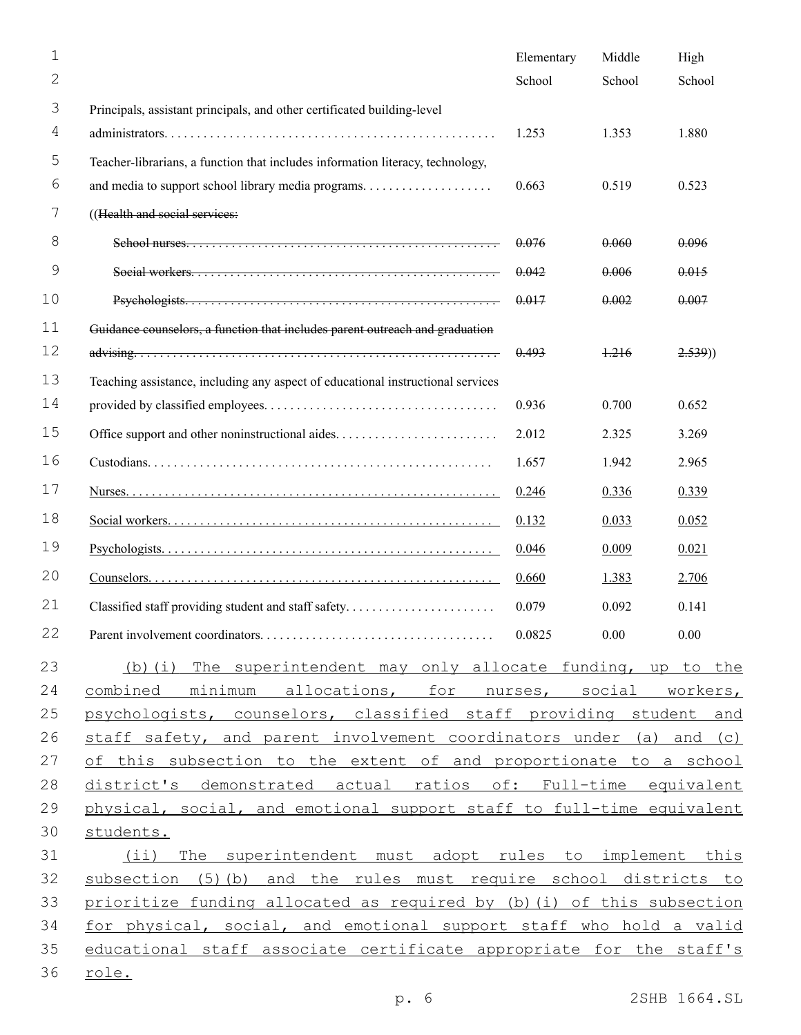| 1  |                                                                                 | Elementary | Middle | High   |
|----|---------------------------------------------------------------------------------|------------|--------|--------|
| 2  |                                                                                 | School     | School | School |
| 3  | Principals, assistant principals, and other certificated building-level         |            |        |        |
| 4  |                                                                                 | 1.253      | 1.353  | 1.880  |
| 5  | Teacher-librarians, a function that includes information literacy, technology,  |            |        |        |
| 6  |                                                                                 | 0.663      | 0.519  | 0.523  |
| 7  | ((Health and social services:                                                   |            |        |        |
| 8  |                                                                                 | 0.076      | 0.060  | 0.096  |
| 9  |                                                                                 | 0.042      | 0.006  | 0.015  |
| 10 |                                                                                 | 0.017      | 0.002  | 0.007  |
| 11 | Guidance counselors, a function that includes parent outreach and graduation    |            |        |        |
| 12 |                                                                                 | 0.493      | $+216$ | 2.539) |
| 13 | Teaching assistance, including any aspect of educational instructional services |            |        |        |
| 14 |                                                                                 | 0.936      | 0.700  | 0.652  |
| 15 |                                                                                 | 2.012      | 2.325  | 3.269  |
| 16 |                                                                                 | 1.657      | 1.942  | 2.965  |
| 17 |                                                                                 | 0.246      | 0.336  | 0.339  |
| 18 |                                                                                 | 0.132      | 0.033  | 0.052  |
| 19 |                                                                                 | 0.046      | 0.009  | 0.021  |
| 20 |                                                                                 | 0.660      | 1.383  | 2.706  |
| 21 | Classified staff providing student and staff safety                             | 0.079      | 0.092  | 0.141  |
| 22 |                                                                                 | 0.0825     | 0.00   | 0.00   |
| 23 | (b) (i) The superintendent may only allocate funding, up to the                 |            |        |        |
| 24 | combined minimum allocations, for nurses, social workers,                       |            |        |        |
| 25 | psychologists, counselors, classified staff providing student and               |            |        |        |
| 26 | staff safety, and parent involvement coordinators under (a) and (c)             |            |        |        |
| 27 | of this subsection to the extent of and proportionate to a school               |            |        |        |
| 28 | district's demonstrated actual ratios of: Full-time equivalent                  |            |        |        |
| 29 | physical, social, and emotional support staff to full-time equivalent           |            |        |        |
| 30 | students.                                                                       |            |        |        |
| 31 | (ii) The superintendent must adopt rules to implement this                      |            |        |        |
| 32 | subsection (5) (b) and the rules must require school districts to               |            |        |        |
| 33 | prioritize funding allocated as required by (b) (i) of this subsection          |            |        |        |
| 34 | for physical, social, and emotional support staff who hold a valid              |            |        |        |
| 35 | educational staff associate certificate appropriate for the staff's             |            |        |        |
| 36 | <u>role.</u>                                                                    |            |        |        |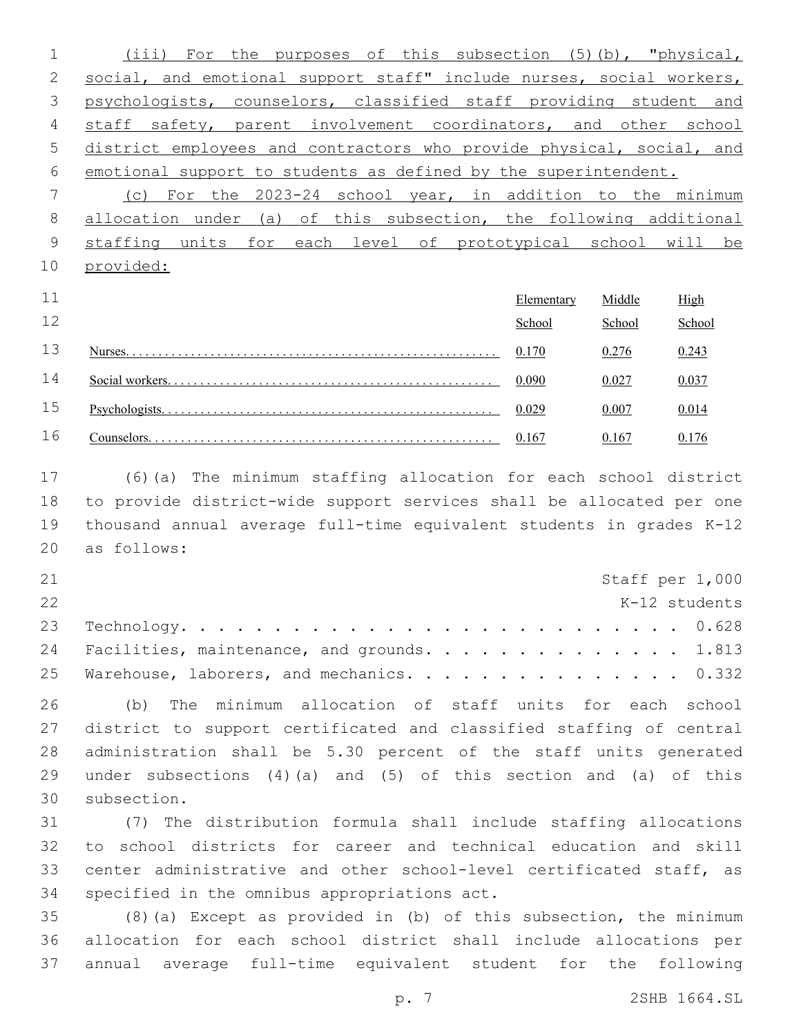| $1 \qquad \qquad$ | (iii) For the purposes of this subsection (5)(b), "physical,           |
|-------------------|------------------------------------------------------------------------|
| 2                 | social, and emotional support staff" include nurses, social workers,   |
|                   | 3 psychologists, counselors, classified staff providing student and    |
|                   | 4 staff safety, parent involvement coordinators, and other school      |
|                   | 5 district employees and contractors who provide physical, social, and |
|                   | 6 emotional support to students as defined by the superintendent.      |
|                   | (c) For the 2023-24 school year, in addition to the minimum            |

 allocation under (a) of this subsection, the following additional staffing units for each level of prototypical school will be provided:

| 11 | Elementary |        | High   |
|----|------------|--------|--------|
| 12 | School     | School | School |
| 13 | 0.170      | 0.276  | 0.243  |
| 14 | 0.090      | 0.027  |        |
| 15 | 0.029      | 0.007  |        |
| 16 | 0.167      | 0.167  |        |

 (6)(a) The minimum staffing allocation for each school district to provide district-wide support services shall be allocated per one thousand annual average full-time equivalent students in grades K-12 20 as follows:

| 21 |                                                |  |  | Staff per 1,000 |
|----|------------------------------------------------|--|--|-----------------|
| 22 |                                                |  |  | K-12 students   |
|    |                                                |  |  |                 |
|    | 24 Facilities, maintenance, and grounds. 1.813 |  |  |                 |
|    | 25 Warehouse, laborers, and mechanics. 0.332   |  |  |                 |

 (b) The minimum allocation of staff units for each school district to support certificated and classified staffing of central administration shall be 5.30 percent of the staff units generated under subsections (4)(a) and (5) of this section and (a) of this 30 subsection.

 (7) The distribution formula shall include staffing allocations to school districts for career and technical education and skill center administrative and other school-level certificated staff, as 34 specified in the omnibus appropriations act.

 (8)(a) Except as provided in (b) of this subsection, the minimum allocation for each school district shall include allocations per annual average full-time equivalent student for the following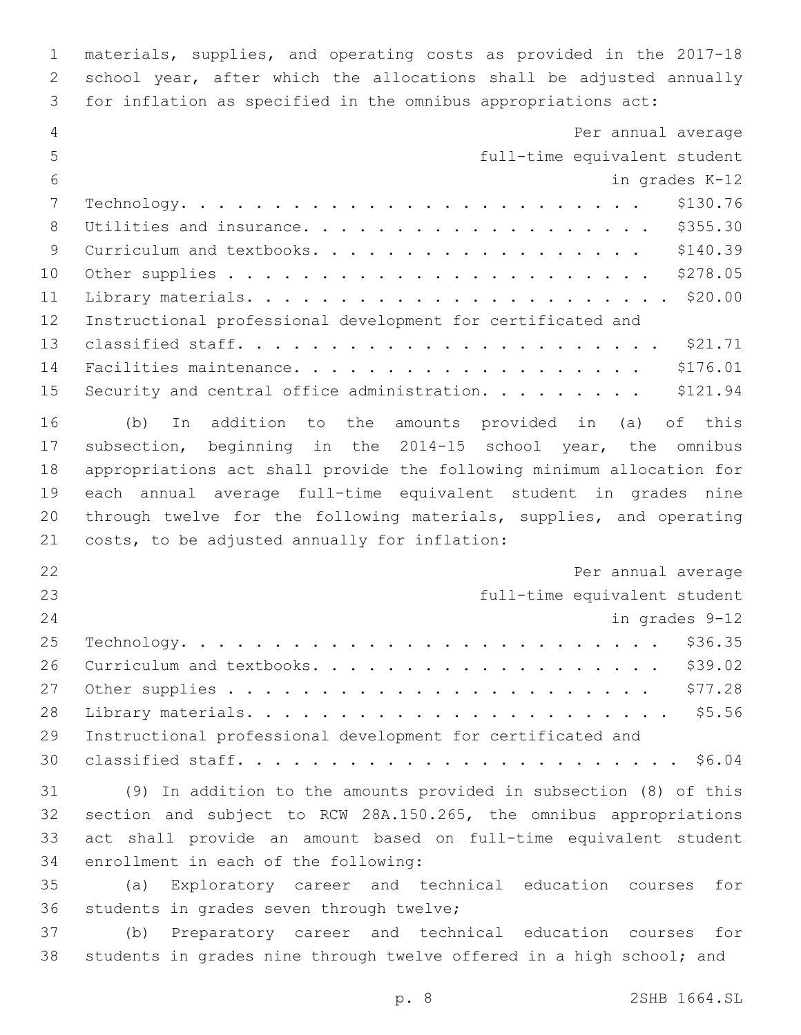materials, supplies, and operating costs as provided in the 2017-18 school year, after which the allocations shall be adjusted annually for inflation as specified in the omnibus appropriations act:

| 5<br>full-time equivalent student<br>6<br>in grades K-12<br>7<br>\$130.76<br>$\verb Technology.$<br>8<br>\$355.30<br>Utilities and insurance.<br>$\mathcal{G}$<br>\$140.39<br>Curriculum and textbooks.<br>\$278.05<br>10<br>\$20.00<br>11<br>12<br>Instructional professional development for certificated and<br>13<br>\$176.01<br>14<br>Facilities maintenance.<br>15<br>Security and central office administration.<br>\$121.94<br>16<br>In addition to the amounts provided in (a) of this<br>(b)<br>17<br>subsection, beginning in the 2014-15 school year, the omnibus<br>18<br>appropriations act shall provide the following minimum allocation for<br>19<br>each annual average full-time equivalent student in grades nine<br>20<br>through twelve for the following materials, supplies, and operating<br>21<br>costs, to be adjusted annually for inflation:<br>22<br>Per annual average<br>23<br>full-time equivalent student<br>24<br>in grades 9-12<br>25<br>\$36.35<br>26<br>\$39.02<br>Curriculum and textbooks.<br>\$77.28<br>27<br>28<br>29<br>Instructional professional development for certificated and<br>30<br>31<br>(9) In addition to the amounts provided in subsection (8) of this<br>32<br>section and subject to RCW 28A.150.265, the omnibus appropriations<br>33<br>act shall provide an amount based on full-time equivalent student | 4  | Per annual average                       |
|------------------------------------------------------------------------------------------------------------------------------------------------------------------------------------------------------------------------------------------------------------------------------------------------------------------------------------------------------------------------------------------------------------------------------------------------------------------------------------------------------------------------------------------------------------------------------------------------------------------------------------------------------------------------------------------------------------------------------------------------------------------------------------------------------------------------------------------------------------------------------------------------------------------------------------------------------------------------------------------------------------------------------------------------------------------------------------------------------------------------------------------------------------------------------------------------------------------------------------------------------------------------------------------------------------------------------------------------------------------------|----|------------------------------------------|
|                                                                                                                                                                                                                                                                                                                                                                                                                                                                                                                                                                                                                                                                                                                                                                                                                                                                                                                                                                                                                                                                                                                                                                                                                                                                                                                                                                        |    |                                          |
|                                                                                                                                                                                                                                                                                                                                                                                                                                                                                                                                                                                                                                                                                                                                                                                                                                                                                                                                                                                                                                                                                                                                                                                                                                                                                                                                                                        |    |                                          |
|                                                                                                                                                                                                                                                                                                                                                                                                                                                                                                                                                                                                                                                                                                                                                                                                                                                                                                                                                                                                                                                                                                                                                                                                                                                                                                                                                                        |    |                                          |
|                                                                                                                                                                                                                                                                                                                                                                                                                                                                                                                                                                                                                                                                                                                                                                                                                                                                                                                                                                                                                                                                                                                                                                                                                                                                                                                                                                        |    |                                          |
|                                                                                                                                                                                                                                                                                                                                                                                                                                                                                                                                                                                                                                                                                                                                                                                                                                                                                                                                                                                                                                                                                                                                                                                                                                                                                                                                                                        |    |                                          |
|                                                                                                                                                                                                                                                                                                                                                                                                                                                                                                                                                                                                                                                                                                                                                                                                                                                                                                                                                                                                                                                                                                                                                                                                                                                                                                                                                                        |    |                                          |
|                                                                                                                                                                                                                                                                                                                                                                                                                                                                                                                                                                                                                                                                                                                                                                                                                                                                                                                                                                                                                                                                                                                                                                                                                                                                                                                                                                        |    |                                          |
|                                                                                                                                                                                                                                                                                                                                                                                                                                                                                                                                                                                                                                                                                                                                                                                                                                                                                                                                                                                                                                                                                                                                                                                                                                                                                                                                                                        |    |                                          |
|                                                                                                                                                                                                                                                                                                                                                                                                                                                                                                                                                                                                                                                                                                                                                                                                                                                                                                                                                                                                                                                                                                                                                                                                                                                                                                                                                                        |    |                                          |
|                                                                                                                                                                                                                                                                                                                                                                                                                                                                                                                                                                                                                                                                                                                                                                                                                                                                                                                                                                                                                                                                                                                                                                                                                                                                                                                                                                        |    |                                          |
|                                                                                                                                                                                                                                                                                                                                                                                                                                                                                                                                                                                                                                                                                                                                                                                                                                                                                                                                                                                                                                                                                                                                                                                                                                                                                                                                                                        |    |                                          |
|                                                                                                                                                                                                                                                                                                                                                                                                                                                                                                                                                                                                                                                                                                                                                                                                                                                                                                                                                                                                                                                                                                                                                                                                                                                                                                                                                                        |    |                                          |
|                                                                                                                                                                                                                                                                                                                                                                                                                                                                                                                                                                                                                                                                                                                                                                                                                                                                                                                                                                                                                                                                                                                                                                                                                                                                                                                                                                        |    |                                          |
|                                                                                                                                                                                                                                                                                                                                                                                                                                                                                                                                                                                                                                                                                                                                                                                                                                                                                                                                                                                                                                                                                                                                                                                                                                                                                                                                                                        |    |                                          |
|                                                                                                                                                                                                                                                                                                                                                                                                                                                                                                                                                                                                                                                                                                                                                                                                                                                                                                                                                                                                                                                                                                                                                                                                                                                                                                                                                                        |    |                                          |
|                                                                                                                                                                                                                                                                                                                                                                                                                                                                                                                                                                                                                                                                                                                                                                                                                                                                                                                                                                                                                                                                                                                                                                                                                                                                                                                                                                        |    |                                          |
|                                                                                                                                                                                                                                                                                                                                                                                                                                                                                                                                                                                                                                                                                                                                                                                                                                                                                                                                                                                                                                                                                                                                                                                                                                                                                                                                                                        |    |                                          |
|                                                                                                                                                                                                                                                                                                                                                                                                                                                                                                                                                                                                                                                                                                                                                                                                                                                                                                                                                                                                                                                                                                                                                                                                                                                                                                                                                                        |    |                                          |
|                                                                                                                                                                                                                                                                                                                                                                                                                                                                                                                                                                                                                                                                                                                                                                                                                                                                                                                                                                                                                                                                                                                                                                                                                                                                                                                                                                        |    |                                          |
|                                                                                                                                                                                                                                                                                                                                                                                                                                                                                                                                                                                                                                                                                                                                                                                                                                                                                                                                                                                                                                                                                                                                                                                                                                                                                                                                                                        |    |                                          |
|                                                                                                                                                                                                                                                                                                                                                                                                                                                                                                                                                                                                                                                                                                                                                                                                                                                                                                                                                                                                                                                                                                                                                                                                                                                                                                                                                                        |    |                                          |
|                                                                                                                                                                                                                                                                                                                                                                                                                                                                                                                                                                                                                                                                                                                                                                                                                                                                                                                                                                                                                                                                                                                                                                                                                                                                                                                                                                        |    |                                          |
|                                                                                                                                                                                                                                                                                                                                                                                                                                                                                                                                                                                                                                                                                                                                                                                                                                                                                                                                                                                                                                                                                                                                                                                                                                                                                                                                                                        |    |                                          |
|                                                                                                                                                                                                                                                                                                                                                                                                                                                                                                                                                                                                                                                                                                                                                                                                                                                                                                                                                                                                                                                                                                                                                                                                                                                                                                                                                                        |    |                                          |
|                                                                                                                                                                                                                                                                                                                                                                                                                                                                                                                                                                                                                                                                                                                                                                                                                                                                                                                                                                                                                                                                                                                                                                                                                                                                                                                                                                        |    |                                          |
|                                                                                                                                                                                                                                                                                                                                                                                                                                                                                                                                                                                                                                                                                                                                                                                                                                                                                                                                                                                                                                                                                                                                                                                                                                                                                                                                                                        |    |                                          |
|                                                                                                                                                                                                                                                                                                                                                                                                                                                                                                                                                                                                                                                                                                                                                                                                                                                                                                                                                                                                                                                                                                                                                                                                                                                                                                                                                                        |    |                                          |
|                                                                                                                                                                                                                                                                                                                                                                                                                                                                                                                                                                                                                                                                                                                                                                                                                                                                                                                                                                                                                                                                                                                                                                                                                                                                                                                                                                        |    |                                          |
|                                                                                                                                                                                                                                                                                                                                                                                                                                                                                                                                                                                                                                                                                                                                                                                                                                                                                                                                                                                                                                                                                                                                                                                                                                                                                                                                                                        |    |                                          |
| 34<br>enrollment in each of the following:                                                                                                                                                                                                                                                                                                                                                                                                                                                                                                                                                                                                                                                                                                                                                                                                                                                                                                                                                                                                                                                                                                                                                                                                                                                                                                                             |    |                                          |
| 35<br>Exploratory career and technical education courses<br>for<br>(a)                                                                                                                                                                                                                                                                                                                                                                                                                                                                                                                                                                                                                                                                                                                                                                                                                                                                                                                                                                                                                                                                                                                                                                                                                                                                                                 |    |                                          |
|                                                                                                                                                                                                                                                                                                                                                                                                                                                                                                                                                                                                                                                                                                                                                                                                                                                                                                                                                                                                                                                                                                                                                                                                                                                                                                                                                                        | 36 | students in grades seven through twelve; |

 (b) Preparatory career and technical education courses for students in grades nine through twelve offered in a high school; and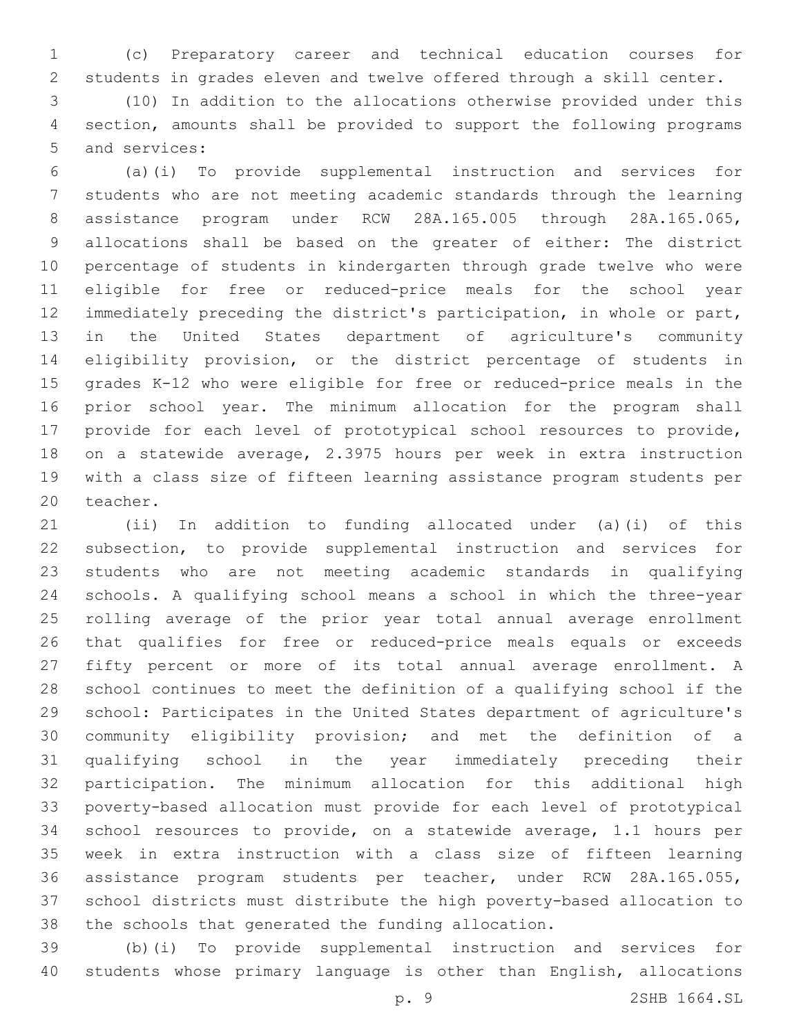(c) Preparatory career and technical education courses for students in grades eleven and twelve offered through a skill center.

 (10) In addition to the allocations otherwise provided under this section, amounts shall be provided to support the following programs 5 and services:

 (a)(i) To provide supplemental instruction and services for students who are not meeting academic standards through the learning assistance program under RCW 28A.165.005 through 28A.165.065, allocations shall be based on the greater of either: The district percentage of students in kindergarten through grade twelve who were eligible for free or reduced-price meals for the school year immediately preceding the district's participation, in whole or part, in the United States department of agriculture's community eligibility provision, or the district percentage of students in grades K-12 who were eligible for free or reduced-price meals in the prior school year. The minimum allocation for the program shall provide for each level of prototypical school resources to provide, on a statewide average, 2.3975 hours per week in extra instruction with a class size of fifteen learning assistance program students per 20 teacher.

 (ii) In addition to funding allocated under (a)(i) of this subsection, to provide supplemental instruction and services for students who are not meeting academic standards in qualifying schools. A qualifying school means a school in which the three-year rolling average of the prior year total annual average enrollment that qualifies for free or reduced-price meals equals or exceeds fifty percent or more of its total annual average enrollment. A school continues to meet the definition of a qualifying school if the school: Participates in the United States department of agriculture's community eligibility provision; and met the definition of a qualifying school in the year immediately preceding their participation. The minimum allocation for this additional high poverty-based allocation must provide for each level of prototypical school resources to provide, on a statewide average, 1.1 hours per week in extra instruction with a class size of fifteen learning assistance program students per teacher, under RCW 28A.165.055, school districts must distribute the high poverty-based allocation to the schools that generated the funding allocation.

 (b)(i) To provide supplemental instruction and services for students whose primary language is other than English, allocations

p. 9 2SHB 1664.SL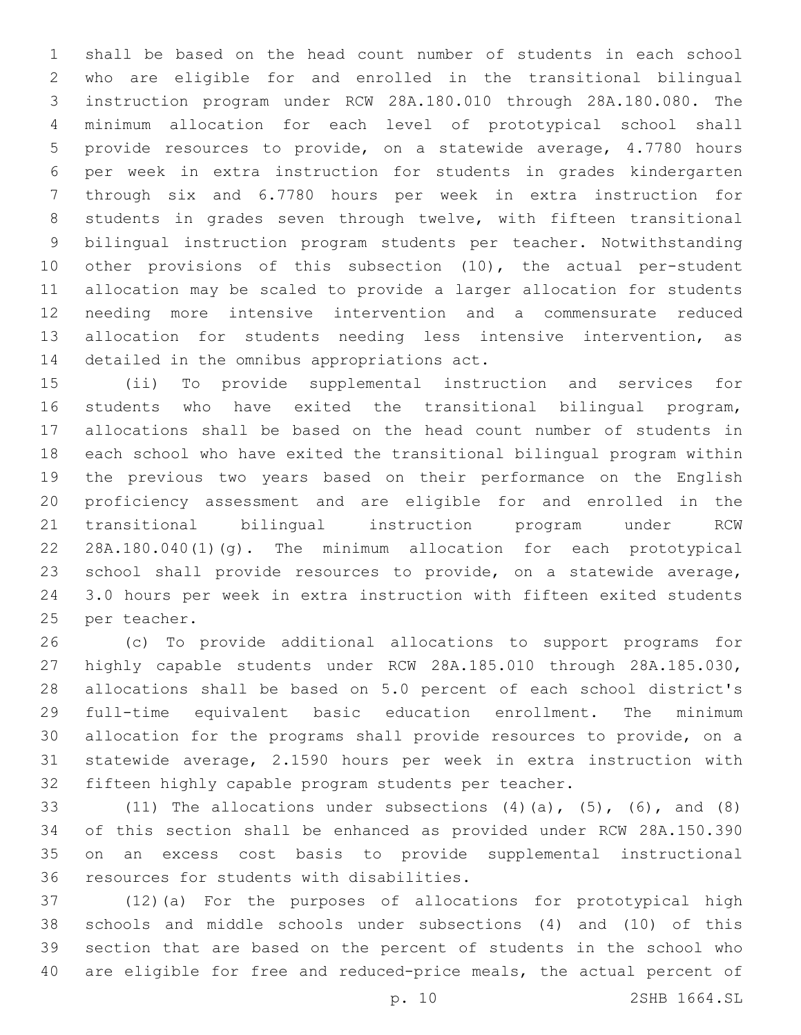shall be based on the head count number of students in each school who are eligible for and enrolled in the transitional bilingual instruction program under RCW 28A.180.010 through 28A.180.080. The minimum allocation for each level of prototypical school shall provide resources to provide, on a statewide average, 4.7780 hours per week in extra instruction for students in grades kindergarten through six and 6.7780 hours per week in extra instruction for students in grades seven through twelve, with fifteen transitional bilingual instruction program students per teacher. Notwithstanding other provisions of this subsection (10), the actual per-student allocation may be scaled to provide a larger allocation for students needing more intensive intervention and a commensurate reduced allocation for students needing less intensive intervention, as 14 detailed in the omnibus appropriations act.

 (ii) To provide supplemental instruction and services for students who have exited the transitional bilingual program, allocations shall be based on the head count number of students in each school who have exited the transitional bilingual program within the previous two years based on their performance on the English proficiency assessment and are eligible for and enrolled in the transitional bilingual instruction program under RCW 28A.180.040(1)(g). The minimum allocation for each prototypical school shall provide resources to provide, on a statewide average, 3.0 hours per week in extra instruction with fifteen exited students 25 per teacher.

 (c) To provide additional allocations to support programs for highly capable students under RCW 28A.185.010 through 28A.185.030, allocations shall be based on 5.0 percent of each school district's full-time equivalent basic education enrollment. The minimum allocation for the programs shall provide resources to provide, on a statewide average, 2.1590 hours per week in extra instruction with fifteen highly capable program students per teacher.

33 (11) The allocations under subsections  $(4)$   $(a)$ ,  $(5)$ ,  $(6)$ , and  $(8)$  of this section shall be enhanced as provided under RCW 28A.150.390 on an excess cost basis to provide supplemental instructional 36 resources for students with disabilities.

 (12)(a) For the purposes of allocations for prototypical high schools and middle schools under subsections (4) and (10) of this section that are based on the percent of students in the school who are eligible for free and reduced-price meals, the actual percent of

p. 10 2SHB 1664.SL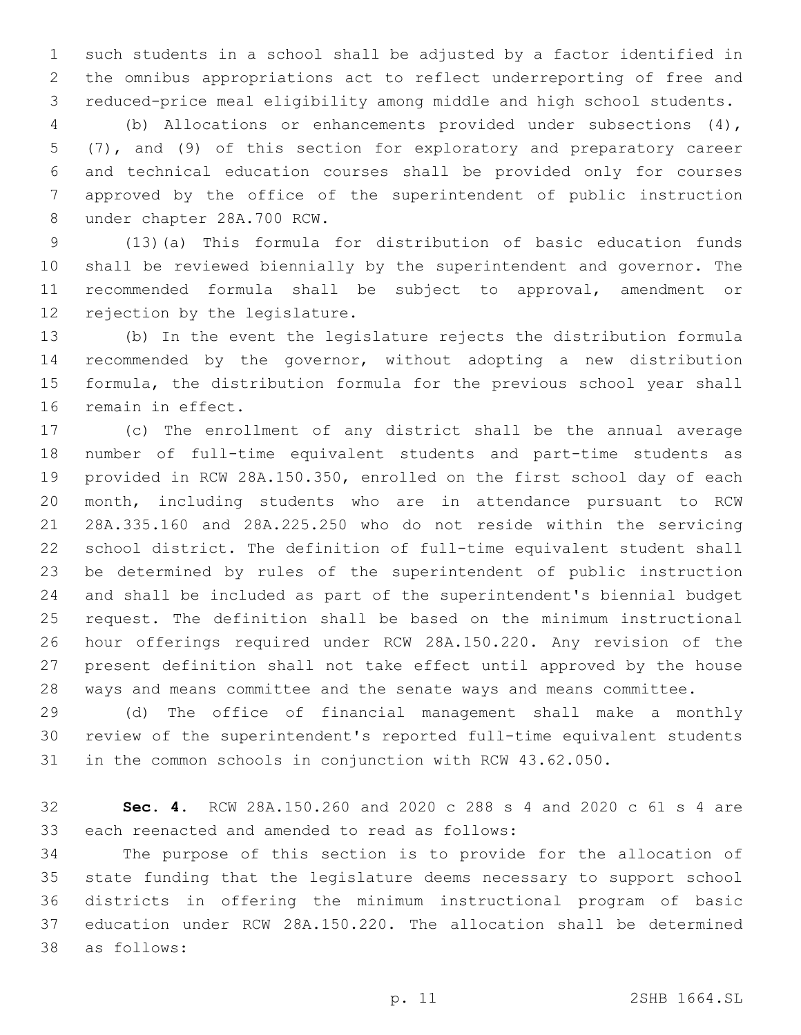such students in a school shall be adjusted by a factor identified in the omnibus appropriations act to reflect underreporting of free and reduced-price meal eligibility among middle and high school students.

 (b) Allocations or enhancements provided under subsections (4), (7), and (9) of this section for exploratory and preparatory career and technical education courses shall be provided only for courses approved by the office of the superintendent of public instruction 8 under chapter 28A.700 RCW.

 (13)(a) This formula for distribution of basic education funds shall be reviewed biennially by the superintendent and governor. The recommended formula shall be subject to approval, amendment or 12 rejection by the legislature.

 (b) In the event the legislature rejects the distribution formula recommended by the governor, without adopting a new distribution formula, the distribution formula for the previous school year shall 16 remain in effect.

 (c) The enrollment of any district shall be the annual average number of full-time equivalent students and part-time students as provided in RCW 28A.150.350, enrolled on the first school day of each month, including students who are in attendance pursuant to RCW 28A.335.160 and 28A.225.250 who do not reside within the servicing school district. The definition of full-time equivalent student shall be determined by rules of the superintendent of public instruction and shall be included as part of the superintendent's biennial budget request. The definition shall be based on the minimum instructional hour offerings required under RCW 28A.150.220. Any revision of the present definition shall not take effect until approved by the house ways and means committee and the senate ways and means committee.

 (d) The office of financial management shall make a monthly review of the superintendent's reported full-time equivalent students in the common schools in conjunction with RCW 43.62.050.

 **Sec. 4.** RCW 28A.150.260 and 2020 c 288 s 4 and 2020 c 61 s 4 are 33 each reenacted and amended to read as follows:

 The purpose of this section is to provide for the allocation of state funding that the legislature deems necessary to support school districts in offering the minimum instructional program of basic education under RCW 28A.150.220. The allocation shall be determined as follows:38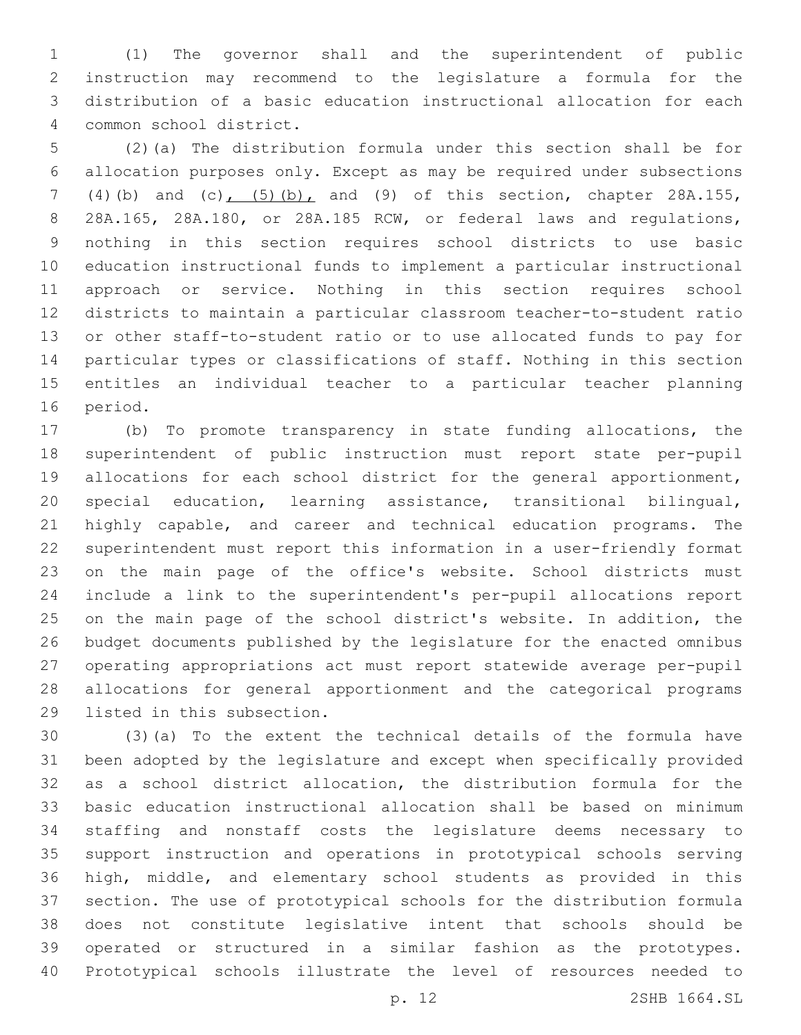(1) The governor shall and the superintendent of public instruction may recommend to the legislature a formula for the distribution of a basic education instructional allocation for each common school district.4

 (2)(a) The distribution formula under this section shall be for allocation purposes only. Except as may be required under subsections (4)(b) and (c), (5)(b), and (9) of this section, chapter 28A.155, 28A.165, 28A.180, or 28A.185 RCW, or federal laws and regulations, nothing in this section requires school districts to use basic education instructional funds to implement a particular instructional approach or service. Nothing in this section requires school districts to maintain a particular classroom teacher-to-student ratio or other staff-to-student ratio or to use allocated funds to pay for particular types or classifications of staff. Nothing in this section entitles an individual teacher to a particular teacher planning 16 period.

 (b) To promote transparency in state funding allocations, the superintendent of public instruction must report state per-pupil allocations for each school district for the general apportionment, special education, learning assistance, transitional bilingual, highly capable, and career and technical education programs. The superintendent must report this information in a user-friendly format on the main page of the office's website. School districts must include a link to the superintendent's per-pupil allocations report on the main page of the school district's website. In addition, the budget documents published by the legislature for the enacted omnibus operating appropriations act must report statewide average per-pupil allocations for general apportionment and the categorical programs 29 listed in this subsection.

 (3)(a) To the extent the technical details of the formula have been adopted by the legislature and except when specifically provided as a school district allocation, the distribution formula for the basic education instructional allocation shall be based on minimum staffing and nonstaff costs the legislature deems necessary to support instruction and operations in prototypical schools serving high, middle, and elementary school students as provided in this section. The use of prototypical schools for the distribution formula does not constitute legislative intent that schools should be operated or structured in a similar fashion as the prototypes. Prototypical schools illustrate the level of resources needed to

p. 12 2SHB 1664.SL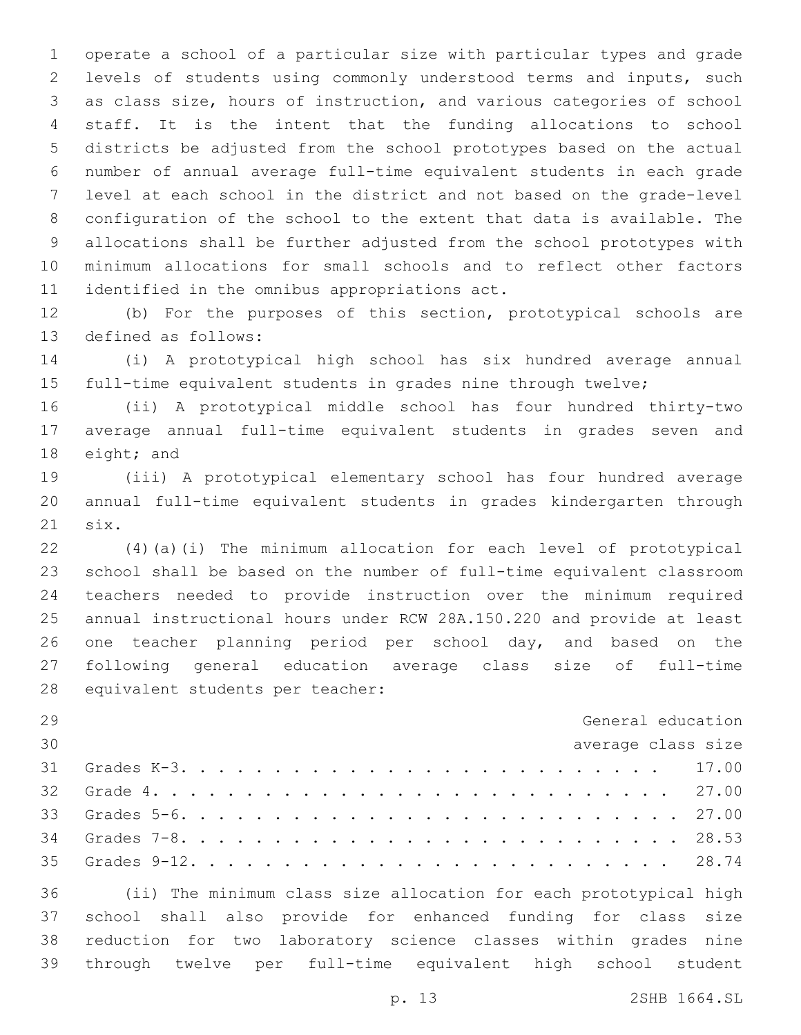operate a school of a particular size with particular types and grade levels of students using commonly understood terms and inputs, such as class size, hours of instruction, and various categories of school staff. It is the intent that the funding allocations to school districts be adjusted from the school prototypes based on the actual number of annual average full-time equivalent students in each grade level at each school in the district and not based on the grade-level configuration of the school to the extent that data is available. The allocations shall be further adjusted from the school prototypes with minimum allocations for small schools and to reflect other factors 11 identified in the omnibus appropriations act.

 (b) For the purposes of this section, prototypical schools are 13 defined as follows:

 (i) A prototypical high school has six hundred average annual full-time equivalent students in grades nine through twelve;

 (ii) A prototypical middle school has four hundred thirty-two average annual full-time equivalent students in grades seven and 18 eight; and

 (iii) A prototypical elementary school has four hundred average annual full-time equivalent students in grades kindergarten through 21 six.

 (4)(a)(i) The minimum allocation for each level of prototypical school shall be based on the number of full-time equivalent classroom teachers needed to provide instruction over the minimum required annual instructional hours under RCW 28A.150.220 and provide at least one teacher planning period per school day, and based on the following general education average class size of full-time 28 equivalent students per teacher:

| 29 | General education                                                    |  |
|----|----------------------------------------------------------------------|--|
| 30 | average class size                                                   |  |
| 31 |                                                                      |  |
|    |                                                                      |  |
|    |                                                                      |  |
|    |                                                                      |  |
|    |                                                                      |  |
|    | 36 (ii) The minimum class size allocation for each prototypical high |  |

 school shall also provide for enhanced funding for class size reduction for two laboratory science classes within grades nine through twelve per full-time equivalent high school student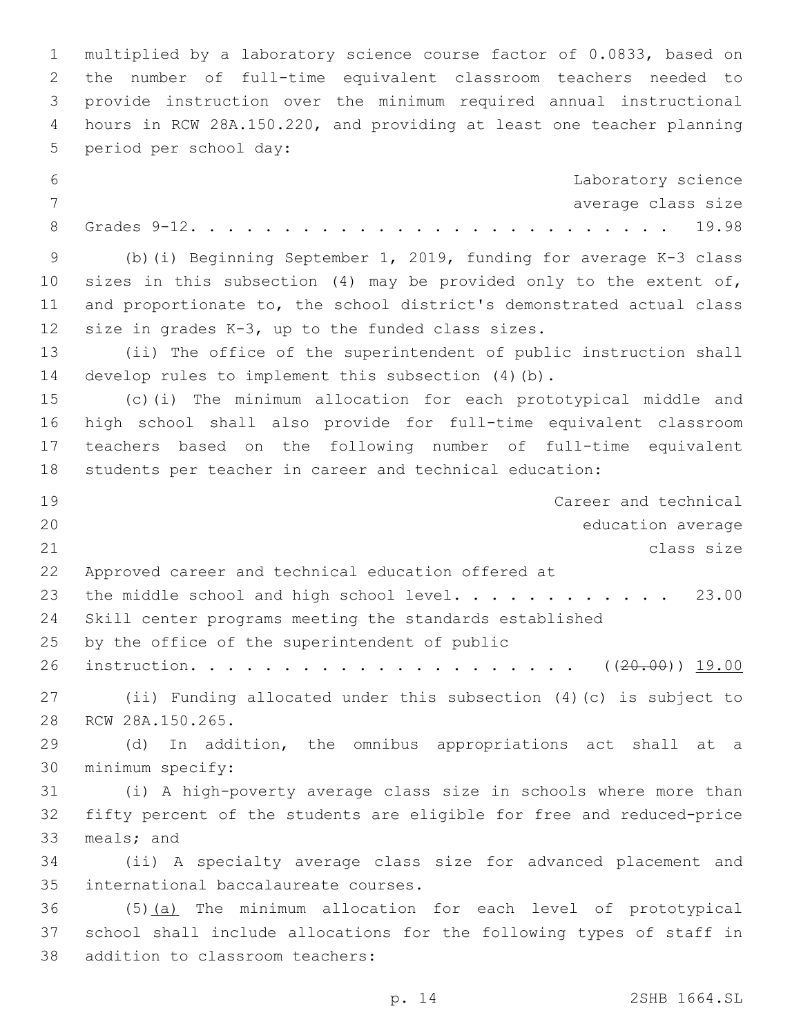multiplied by a laboratory science course factor of 0.0833, based on the number of full-time equivalent classroom teachers needed to provide instruction over the minimum required annual instructional hours in RCW 28A.150.220, and providing at least one teacher planning 5 period per school day: Laboratory science average class size Grades 9-12. . . . . . . . . . . . . . . . . . . . . . . . . . 19.98 (b)(i) Beginning September 1, 2019, funding for average K-3 class sizes in this subsection (4) may be provided only to the extent of, and proportionate to, the school district's demonstrated actual class 12 size in grades  $K-3$ , up to the funded class sizes. (ii) The office of the superintendent of public instruction shall develop rules to implement this subsection (4)(b). (c)(i) The minimum allocation for each prototypical middle and high school shall also provide for full-time equivalent classroom teachers based on the following number of full-time equivalent students per teacher in career and technical education: Career and technical education average class size Approved career and technical education offered at 23 the middle school and high school level. . . . . . . . . . . 23.00 Skill center programs meeting the standards established 25 by the office of the superintendent of public instruction. . . . . . . . . . . . . . . . . . . . . ((20.00)) 19.00 (ii) Funding allocated under this subsection (4)(c) is subject to 28 RCW 28A.150.265. (d) In addition, the omnibus appropriations act shall at a 30 minimum specify: (i) A high-poverty average class size in schools where more than fifty percent of the students are eligible for free and reduced-price 33 meals; and (ii) A specialty average class size for advanced placement and 35 international baccalaureate courses. (5)(a) The minimum allocation for each level of prototypical school shall include allocations for the following types of staff in 38 addition to classroom teachers: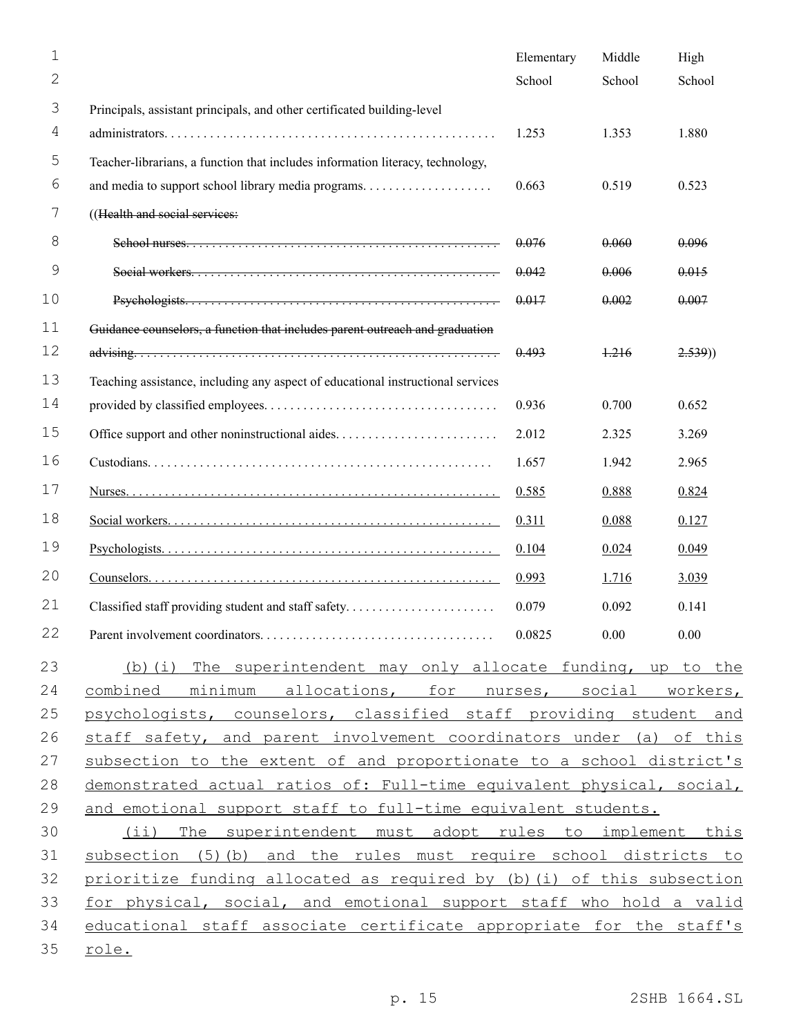| $\mathbf 1$    |                                                                                 | Elementary | Middle | High   |
|----------------|---------------------------------------------------------------------------------|------------|--------|--------|
| $\overline{2}$ |                                                                                 | School     | School | School |
| 3              | Principals, assistant principals, and other certificated building-level         |            |        |        |
| 4              |                                                                                 | 1.253      | 1.353  | 1.880  |
| 5              | Teacher-librarians, a function that includes information literacy, technology,  |            |        |        |
| 6              |                                                                                 | 0.663      | 0.519  | 0.523  |
| 7              | ((Health and social services:                                                   |            |        |        |
| 8              |                                                                                 | 0.076      | 0.060  | 0.096  |
| 9              |                                                                                 | 0.042      | 0.006  | 0.015  |
| 10             |                                                                                 | 0.017      | 0.002  | 0.007  |
| 11             | Guidance counselors, a function that includes parent outreach and graduation    |            |        |        |
| 12             |                                                                                 | 0.493      | 1.216  | 2.539) |
| 13             | Teaching assistance, including any aspect of educational instructional services |            |        |        |
| 14             |                                                                                 | 0.936      | 0.700  | 0.652  |
| 15             |                                                                                 | 2.012      | 2.325  | 3.269  |
| 16             |                                                                                 | 1.657      | 1.942  | 2.965  |
| 17             |                                                                                 | 0.585      | 0.888  | 0.824  |
| 18             |                                                                                 | 0.311      | 0.088  | 0.127  |
| 19             |                                                                                 | 0.104      | 0.024  | 0.049  |
| 20             |                                                                                 | 0.993      | 1.716  | 3.039  |
| 21             | Classified staff providing student and staff safety                             | 0.079      | 0.092  | 0.141  |
| 22             |                                                                                 |            |        | 0.00   |
| 23             | (b) (i) The superintendent may only allocate funding, up to the                 |            |        |        |
| 24             | combined minimum allocations, for nurses, social workers,                       |            |        |        |
| 25             | psychologists, counselors, classified staff providing student and               |            |        |        |
| 26             | staff safety, and parent involvement coordinators under (a) of this             |            |        |        |
| 27             | subsection to the extent of and proportionate to a school district's            |            |        |        |
| 28             | demonstrated actual ratios of: Full-time equivalent physical, social,           |            |        |        |
| 29             | and emotional support staff to full-time equivalent students.                   |            |        |        |
| 30             | (ii) The superintendent must adopt rules to implement this                      |            |        |        |
| 31             | subsection (5) (b) and the rules must require school districts to               |            |        |        |
| 32             | prioritize funding allocated as required by (b) (i) of this subsection          |            |        |        |
| 33             | for physical, social, and emotional support staff who hold a valid              |            |        |        |
| 34             | educational staff associate certificate appropriate for the staff's             |            |        |        |
| 35             | role.                                                                           |            |        |        |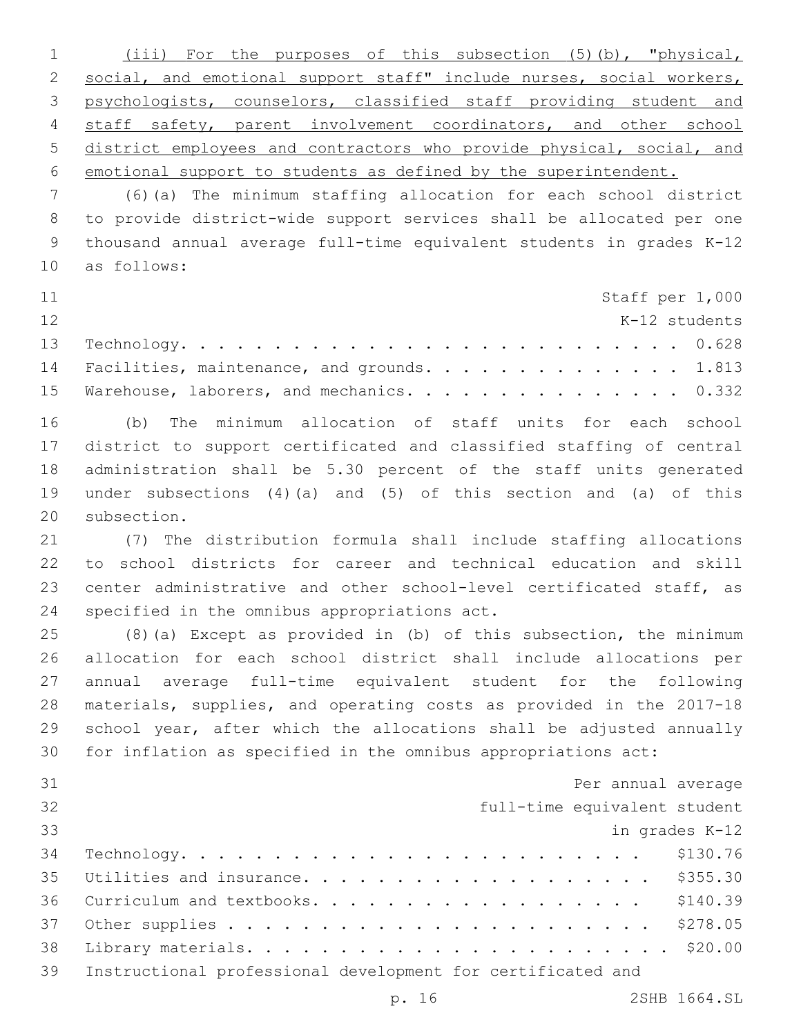(iii) For the purposes of this subsection (5)(b), "physical, 2 social, and emotional support staff" include nurses, social workers, psychologists, counselors, classified staff providing student and 4 staff safety, parent involvement coordinators, and other school district employees and contractors who provide physical, social, and emotional support to students as defined by the superintendent.

 (6)(a) The minimum staffing allocation for each school district to provide district-wide support services shall be allocated per one thousand annual average full-time equivalent students in grades K-12 as follows:10

| 11 |                                                |  |  | Staff per 1,000 |
|----|------------------------------------------------|--|--|-----------------|
| 12 |                                                |  |  | K-12 students   |
|    |                                                |  |  |                 |
|    | 14 Facilities, maintenance, and grounds. 1.813 |  |  |                 |
|    | 15 Warehouse, laborers, and mechanics. 0.332   |  |  |                 |

 (b) The minimum allocation of staff units for each school district to support certificated and classified staffing of central administration shall be 5.30 percent of the staff units generated under subsections (4)(a) and (5) of this section and (a) of this 20 subsection.

 (7) The distribution formula shall include staffing allocations to school districts for career and technical education and skill 23 center administrative and other school-level certificated staff, as 24 specified in the omnibus appropriations act.

 (8)(a) Except as provided in (b) of this subsection, the minimum allocation for each school district shall include allocations per annual average full-time equivalent student for the following materials, supplies, and operating costs as provided in the 2017-18 school year, after which the allocations shall be adjusted annually for inflation as specified in the omnibus appropriations act:

| 31 | Per annual average                                          |
|----|-------------------------------------------------------------|
| 32 | full-time equivalent student                                |
| 33 | in grades K-12                                              |
| 34 | \$130.76<br>$\verb Technology.$                             |
| 35 | Utilities and insurance. \$355.30                           |
| 36 | Curriculum and textbooks. \$140.39                          |
| 37 |                                                             |
| 38 |                                                             |
| 39 | Instructional professional development for certificated and |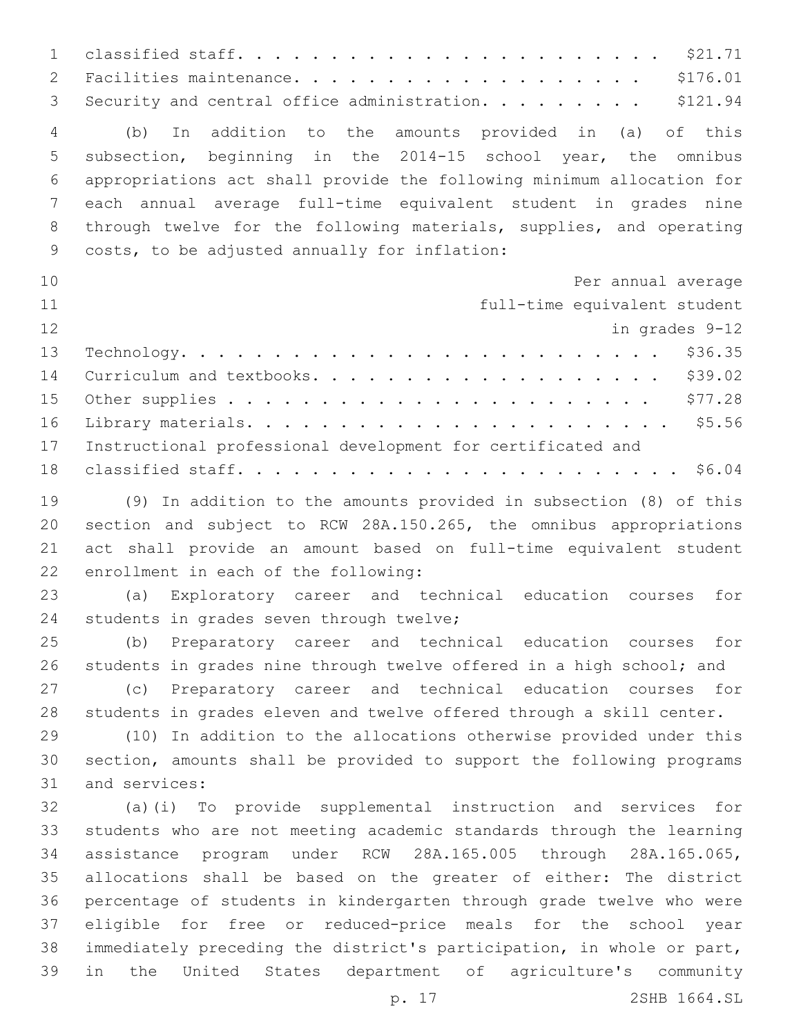classified staff. . . . . . . . . . . . . . . . . . . . . . . \$21.71 Facilities maintenance. . . . . . . . . . . . . . . . . . . \$176.01 3 Security and central office administration. . . . . . . . . \$121.94 (b) In addition to the amounts provided in (a) of this subsection, beginning in the 2014-15 school year, the omnibus appropriations act shall provide the following minimum allocation for each annual average full-time equivalent student in grades nine through twelve for the following materials, supplies, and operating 9 costs, to be adjusted annually for inflation: Per annual average full-time equivalent student in grades 9-12 Technology. . . . . . . . . . . . . . . . . . . . . . . . . . \$36.35 Curriculum and textbooks. . . . . . . . . . . . . . . . . . . \$39.02 Other supplies . . . . . . . . . . . . . . . . . . . . . . . \$77.28 Library materials. . . . . . . . . . . . . . . . . . . . . . . \$5.56 Instructional professional development for certificated and classified staff. . . . . . . . . . . . . . . . . . . . . . . . \$6.04 (9) In addition to the amounts provided in subsection (8) of this section and subject to RCW 28A.150.265, the omnibus appropriations act shall provide an amount based on full-time equivalent student 22 enrollment in each of the following: (a) Exploratory career and technical education courses for 24 students in grades seven through twelve; (b) Preparatory career and technical education courses for students in grades nine through twelve offered in a high school; and (c) Preparatory career and technical education courses for students in grades eleven and twelve offered through a skill center. (10) In addition to the allocations otherwise provided under this section, amounts shall be provided to support the following programs 31 and services: (a)(i) To provide supplemental instruction and services for students who are not meeting academic standards through the learning assistance program under RCW 28A.165.005 through 28A.165.065, allocations shall be based on the greater of either: The district percentage of students in kindergarten through grade twelve who were eligible for free or reduced-price meals for the school year immediately preceding the district's participation, in whole or part, in the United States department of agriculture's community

p. 17 2SHB 1664.SL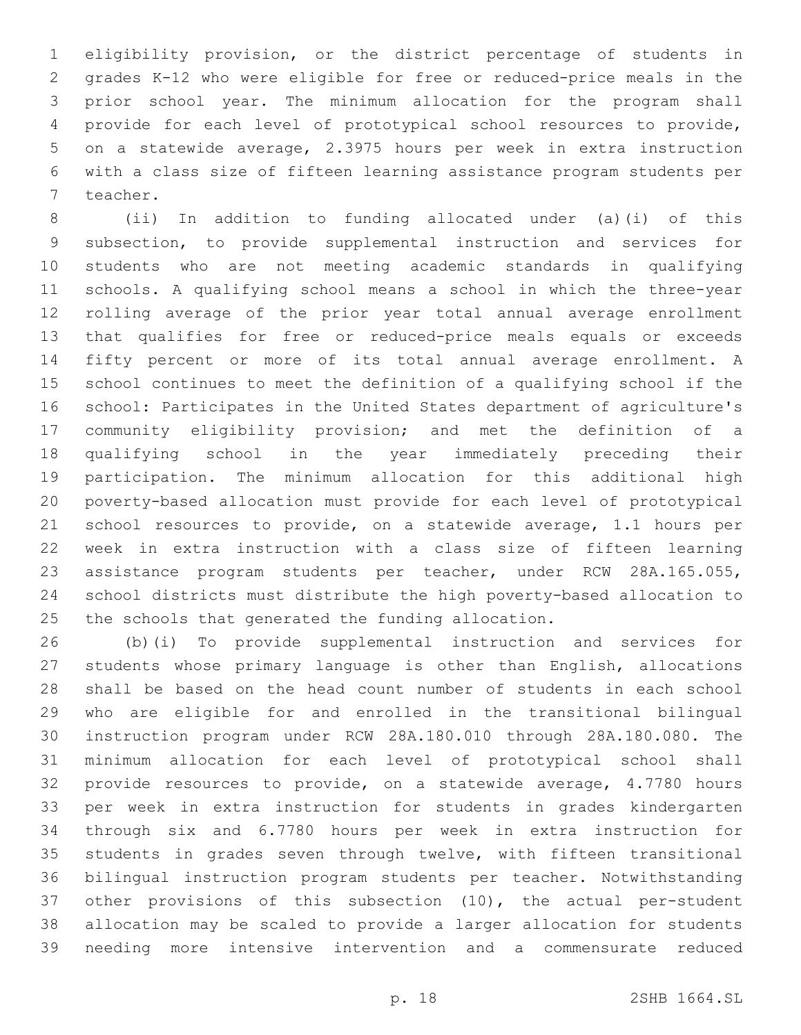eligibility provision, or the district percentage of students in grades K-12 who were eligible for free or reduced-price meals in the prior school year. The minimum allocation for the program shall provide for each level of prototypical school resources to provide, on a statewide average, 2.3975 hours per week in extra instruction with a class size of fifteen learning assistance program students per 7 teacher.

 (ii) In addition to funding allocated under (a)(i) of this subsection, to provide supplemental instruction and services for students who are not meeting academic standards in qualifying schools. A qualifying school means a school in which the three-year rolling average of the prior year total annual average enrollment that qualifies for free or reduced-price meals equals or exceeds fifty percent or more of its total annual average enrollment. A school continues to meet the definition of a qualifying school if the school: Participates in the United States department of agriculture's community eligibility provision; and met the definition of a qualifying school in the year immediately preceding their participation. The minimum allocation for this additional high poverty-based allocation must provide for each level of prototypical school resources to provide, on a statewide average, 1.1 hours per week in extra instruction with a class size of fifteen learning assistance program students per teacher, under RCW 28A.165.055, school districts must distribute the high poverty-based allocation to the schools that generated the funding allocation.

 (b)(i) To provide supplemental instruction and services for students whose primary language is other than English, allocations shall be based on the head count number of students in each school who are eligible for and enrolled in the transitional bilingual instruction program under RCW 28A.180.010 through 28A.180.080. The minimum allocation for each level of prototypical school shall provide resources to provide, on a statewide average, 4.7780 hours per week in extra instruction for students in grades kindergarten through six and 6.7780 hours per week in extra instruction for students in grades seven through twelve, with fifteen transitional bilingual instruction program students per teacher. Notwithstanding other provisions of this subsection (10), the actual per-student allocation may be scaled to provide a larger allocation for students needing more intensive intervention and a commensurate reduced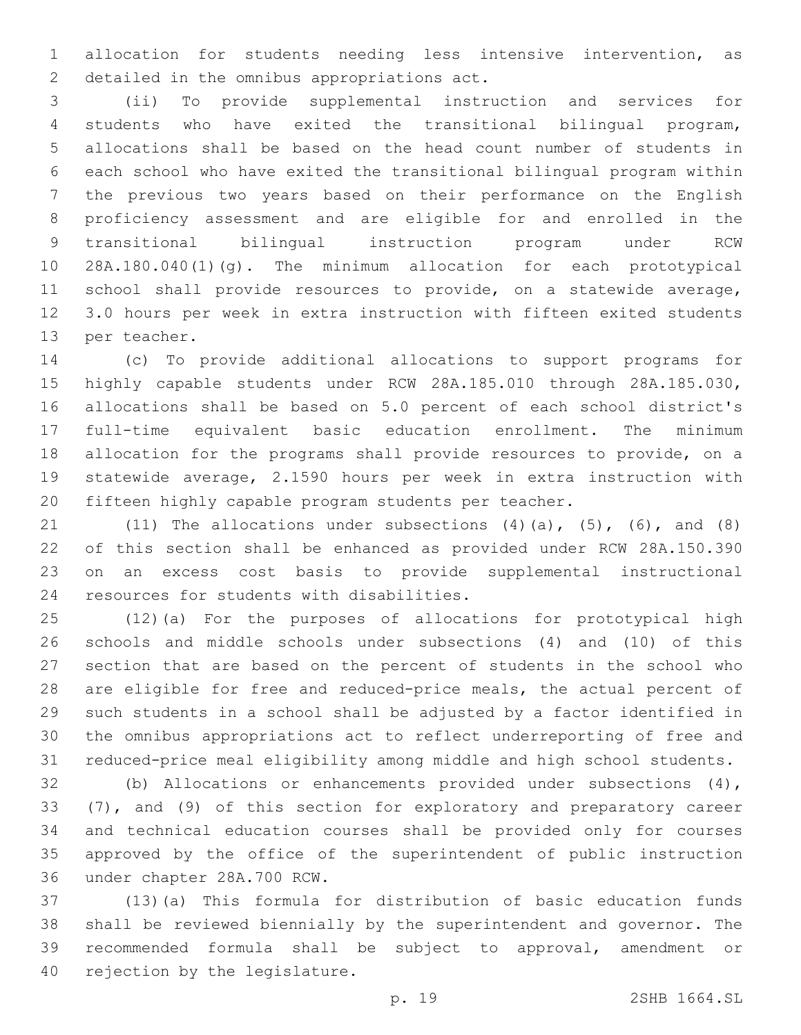allocation for students needing less intensive intervention, as 2 detailed in the omnibus appropriations act.

 (ii) To provide supplemental instruction and services for students who have exited the transitional bilingual program, allocations shall be based on the head count number of students in each school who have exited the transitional bilingual program within the previous two years based on their performance on the English proficiency assessment and are eligible for and enrolled in the transitional bilingual instruction program under RCW 28A.180.040(1)(g). The minimum allocation for each prototypical school shall provide resources to provide, on a statewide average, 3.0 hours per week in extra instruction with fifteen exited students 13 per teacher.

 (c) To provide additional allocations to support programs for highly capable students under RCW 28A.185.010 through 28A.185.030, allocations shall be based on 5.0 percent of each school district's full-time equivalent basic education enrollment. The minimum allocation for the programs shall provide resources to provide, on a statewide average, 2.1590 hours per week in extra instruction with fifteen highly capable program students per teacher.

21 (11) The allocations under subsections  $(4)(a)$ ,  $(5)$ ,  $(6)$ , and  $(8)$  of this section shall be enhanced as provided under RCW 28A.150.390 on an excess cost basis to provide supplemental instructional 24 resources for students with disabilities.

 (12)(a) For the purposes of allocations for prototypical high schools and middle schools under subsections (4) and (10) of this section that are based on the percent of students in the school who are eligible for free and reduced-price meals, the actual percent of such students in a school shall be adjusted by a factor identified in the omnibus appropriations act to reflect underreporting of free and reduced-price meal eligibility among middle and high school students.

 (b) Allocations or enhancements provided under subsections (4), (7), and (9) of this section for exploratory and preparatory career and technical education courses shall be provided only for courses approved by the office of the superintendent of public instruction 36 under chapter 28A.700 RCW.

 (13)(a) This formula for distribution of basic education funds shall be reviewed biennially by the superintendent and governor. The recommended formula shall be subject to approval, amendment or 40 rejection by the legislature.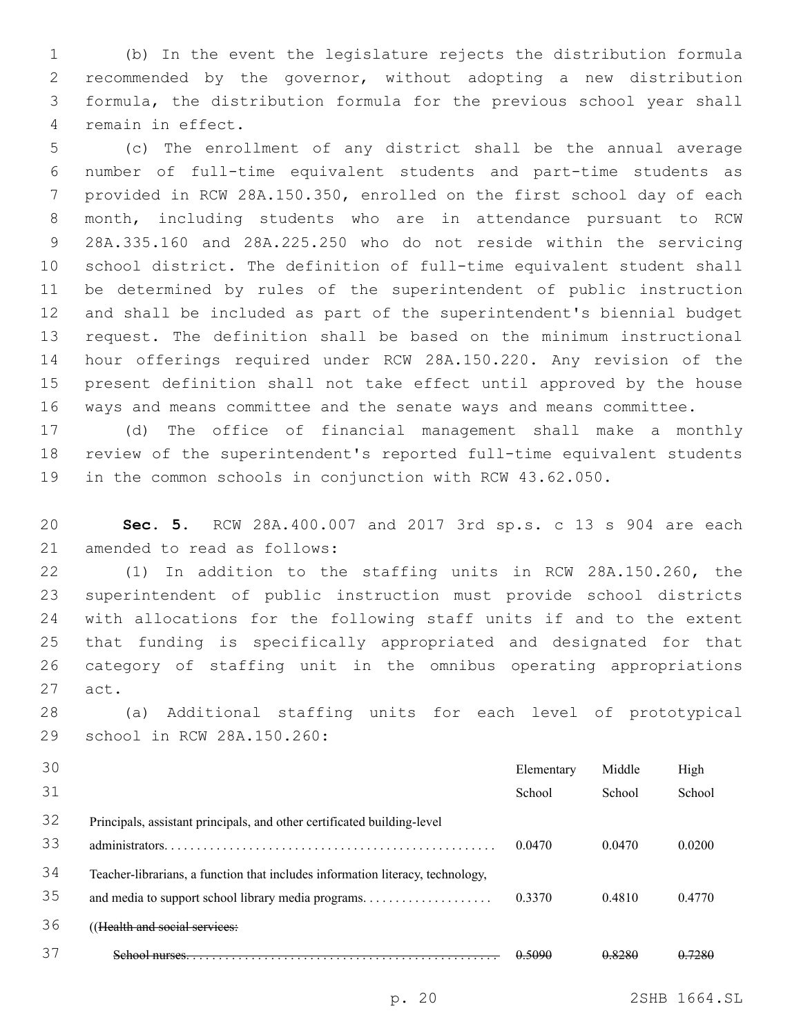(b) In the event the legislature rejects the distribution formula recommended by the governor, without adopting a new distribution formula, the distribution formula for the previous school year shall 4 remain in effect.

 (c) The enrollment of any district shall be the annual average number of full-time equivalent students and part-time students as provided in RCW 28A.150.350, enrolled on the first school day of each month, including students who are in attendance pursuant to RCW 28A.335.160 and 28A.225.250 who do not reside within the servicing school district. The definition of full-time equivalent student shall be determined by rules of the superintendent of public instruction and shall be included as part of the superintendent's biennial budget request. The definition shall be based on the minimum instructional hour offerings required under RCW 28A.150.220. Any revision of the present definition shall not take effect until approved by the house ways and means committee and the senate ways and means committee.

 (d) The office of financial management shall make a monthly review of the superintendent's reported full-time equivalent students in the common schools in conjunction with RCW 43.62.050.

 **Sec. 5.** RCW 28A.400.007 and 2017 3rd sp.s. c 13 s 904 are each 21 amended to read as follows:

 (1) In addition to the staffing units in RCW 28A.150.260, the superintendent of public instruction must provide school districts with allocations for the following staff units if and to the extent that funding is specifically appropriated and designated for that category of staffing unit in the omnibus operating appropriations 27 act.

 (a) Additional staffing units for each level of prototypical 29 school in RCW 28A.150.260:

| 30 |                                                                                | Elementary | Middle | High    |
|----|--------------------------------------------------------------------------------|------------|--------|---------|
| 31 |                                                                                | School     | School | School  |
| 32 | Principals, assistant principals, and other certificated building-level        |            |        |         |
| 33 |                                                                                | 0.0470     | 0.0470 | 0.0200  |
| 34 | Teacher-librarians, a function that includes information literacy, technology, |            |        |         |
| 35 |                                                                                | 0.3370     | 0.4810 | 0.4770  |
| 36 | (Health and social services:                                                   |            |        |         |
| 37 |                                                                                | 0.5090     | 0.8280 | $-7280$ |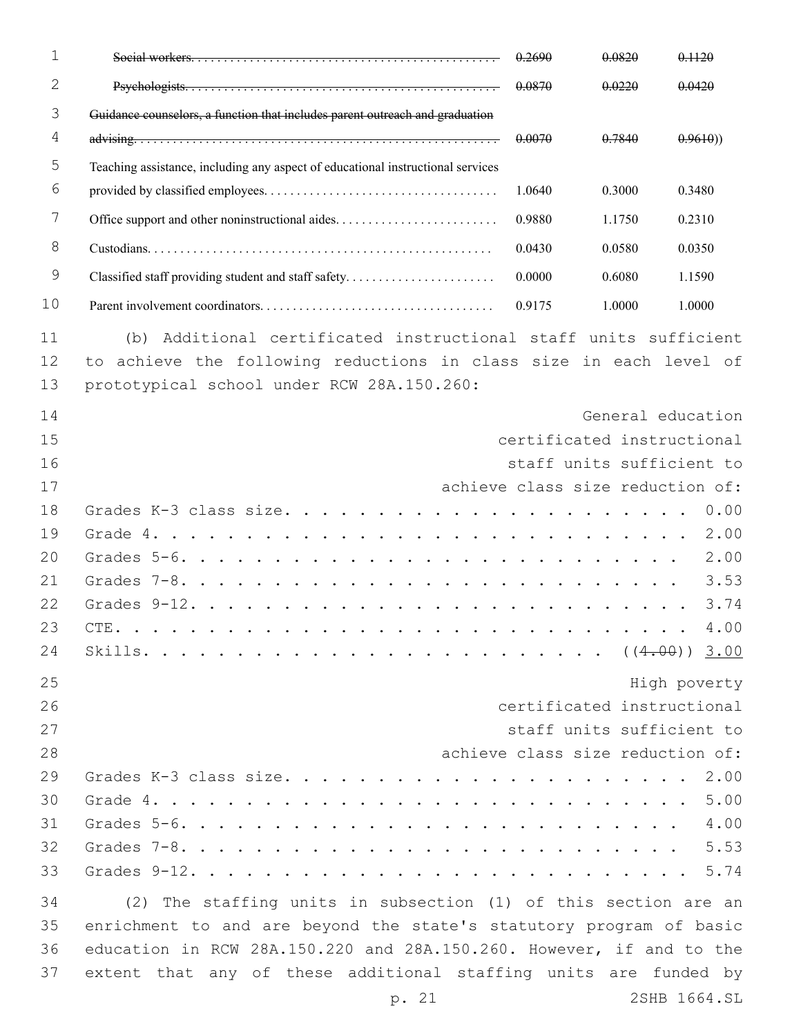| $\mathbf{1}$   |                                                                                                                                                                                      | 0.2690 | 0.0820 | 0.1120                                                  |
|----------------|--------------------------------------------------------------------------------------------------------------------------------------------------------------------------------------|--------|--------|---------------------------------------------------------|
| $\mathbf{2}$   |                                                                                                                                                                                      | 0.0870 | 0.0220 | 0.0420                                                  |
| 3              | Guidance counselors, a function that includes parent outreach and graduation                                                                                                         |        |        |                                                         |
| 4              |                                                                                                                                                                                      | 0.0070 | 0.7840 | 0.9610)                                                 |
| 5              | Teaching assistance, including any aspect of educational instructional services                                                                                                      |        |        |                                                         |
| 6              |                                                                                                                                                                                      | 1.0640 | 0.3000 | 0.3480                                                  |
| 7              | Office support and other noninstructional aides                                                                                                                                      | 0.9880 | 1.1750 | 0.2310                                                  |
| 8              |                                                                                                                                                                                      | 0.0430 | 0.0580 | 0.0350                                                  |
| 9              | Classified staff providing student and staff safety                                                                                                                                  | 0.0000 | 0.6080 | 1.1590                                                  |
| 10             |                                                                                                                                                                                      | 0.9175 | 1.0000 | 1.0000                                                  |
| 11<br>12<br>13 | (b) Additional certificated instructional staff units sufficient<br>to achieve the following reductions in class size in each level of<br>prototypical school under RCW 28A.150.260: |        |        |                                                         |
| 14             |                                                                                                                                                                                      |        |        | General education                                       |
| 15             |                                                                                                                                                                                      |        |        | certificated instructional                              |
| 16             |                                                                                                                                                                                      |        |        | staff units sufficient to                               |
| 17             |                                                                                                                                                                                      |        |        | achieve class size reduction of:                        |
| 18             |                                                                                                                                                                                      |        |        | 0.00                                                    |
| 19             |                                                                                                                                                                                      |        |        | 2.00                                                    |
| 20             | Grades $5-6.$                                                                                                                                                                        |        |        | 2.00                                                    |
| 21             |                                                                                                                                                                                      |        |        | 3.53                                                    |
| 22             |                                                                                                                                                                                      |        |        | 3.74                                                    |
| 23             |                                                                                                                                                                                      |        |        | 4.00                                                    |
| 24             |                                                                                                                                                                                      |        |        |                                                         |
| 25             |                                                                                                                                                                                      |        |        | High poverty                                            |
| 26<br>27       |                                                                                                                                                                                      |        |        | certificated instructional<br>staff units sufficient to |
| 28             |                                                                                                                                                                                      |        |        | achieve class size reduction of:                        |
| 29             |                                                                                                                                                                                      |        |        |                                                         |
| 30             | Grade $4. \ldots.$                                                                                                                                                                   |        |        | 5.00                                                    |
| 31             |                                                                                                                                                                                      |        |        | 4.00                                                    |
| 32             |                                                                                                                                                                                      |        |        | 5.53                                                    |
| 33             |                                                                                                                                                                                      |        |        |                                                         |
| 34             | (2) The staffing units in subsection (1) of this section are an                                                                                                                      |        |        |                                                         |
| 35             | enrichment to and are beyond the state's statutory program of basic                                                                                                                  |        |        |                                                         |
| 36             | education in RCW 28A.150.220 and 28A.150.260. However, if and to the                                                                                                                 |        |        |                                                         |
| 37             | extent that any of these additional staffing units are funded by                                                                                                                     |        |        |                                                         |
|                | p. 21                                                                                                                                                                                |        |        | 2SHB 1664.SL                                            |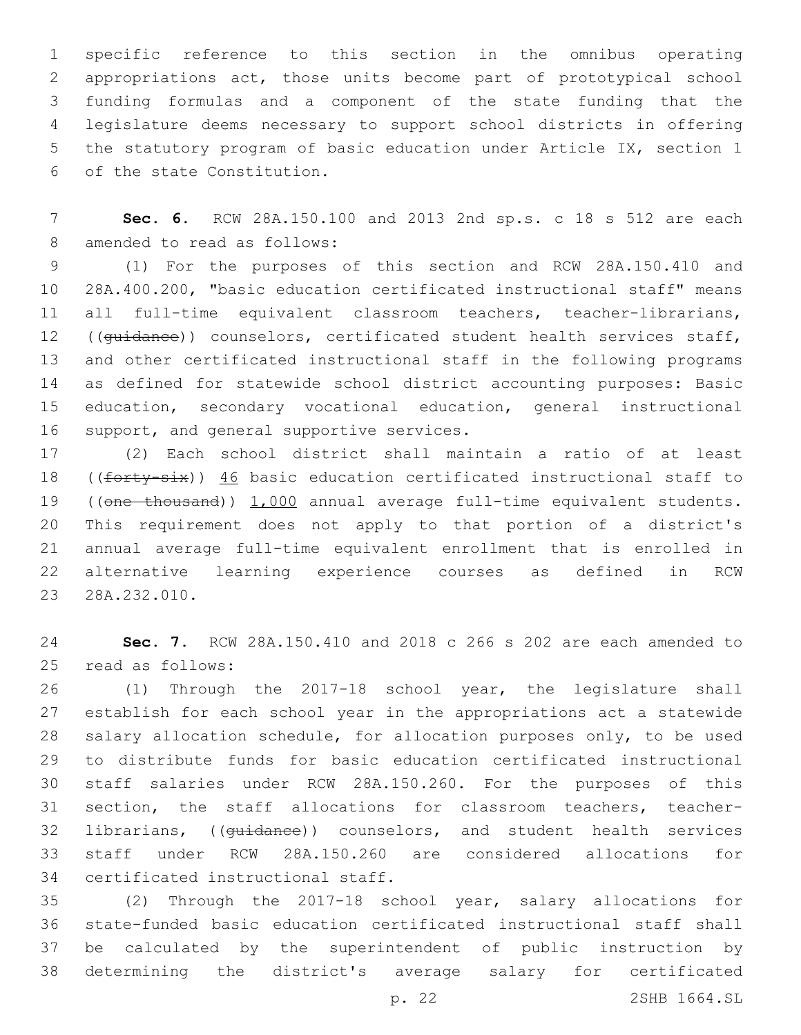specific reference to this section in the omnibus operating appropriations act, those units become part of prototypical school funding formulas and a component of the state funding that the legislature deems necessary to support school districts in offering the statutory program of basic education under Article IX, section 1 6 of the state Constitution.

 **Sec. 6.** RCW 28A.150.100 and 2013 2nd sp.s. c 18 s 512 are each 8 amended to read as follows:

 (1) For the purposes of this section and RCW 28A.150.410 and 28A.400.200, "basic education certificated instructional staff" means 11 all full-time equivalent classroom teachers, teacher-librarians, 12 ((guidance)) counselors, certificated student health services staff, and other certificated instructional staff in the following programs as defined for statewide school district accounting purposes: Basic education, secondary vocational education, general instructional 16 support, and general supportive services.

 (2) Each school district shall maintain a ratio of at least 18 ((forty-six)) 46 basic education certificated instructional staff to 19 ((one thousand)) 1,000 annual average full-time equivalent students. This requirement does not apply to that portion of a district's annual average full-time equivalent enrollment that is enrolled in alternative learning experience courses as defined in RCW 23 28A.232.010.

 **Sec. 7.** RCW 28A.150.410 and 2018 c 266 s 202 are each amended to 25 read as follows:

 (1) Through the 2017-18 school year, the legislature shall establish for each school year in the appropriations act a statewide salary allocation schedule, for allocation purposes only, to be used to distribute funds for basic education certificated instructional staff salaries under RCW 28A.150.260. For the purposes of this 31 section, the staff allocations for classroom teachers, teacher- librarians, ((guidance)) counselors, and student health services staff under RCW 28A.150.260 are considered allocations for 34 certificated instructional staff.

 (2) Through the 2017-18 school year, salary allocations for state-funded basic education certificated instructional staff shall be calculated by the superintendent of public instruction by determining the district's average salary for certificated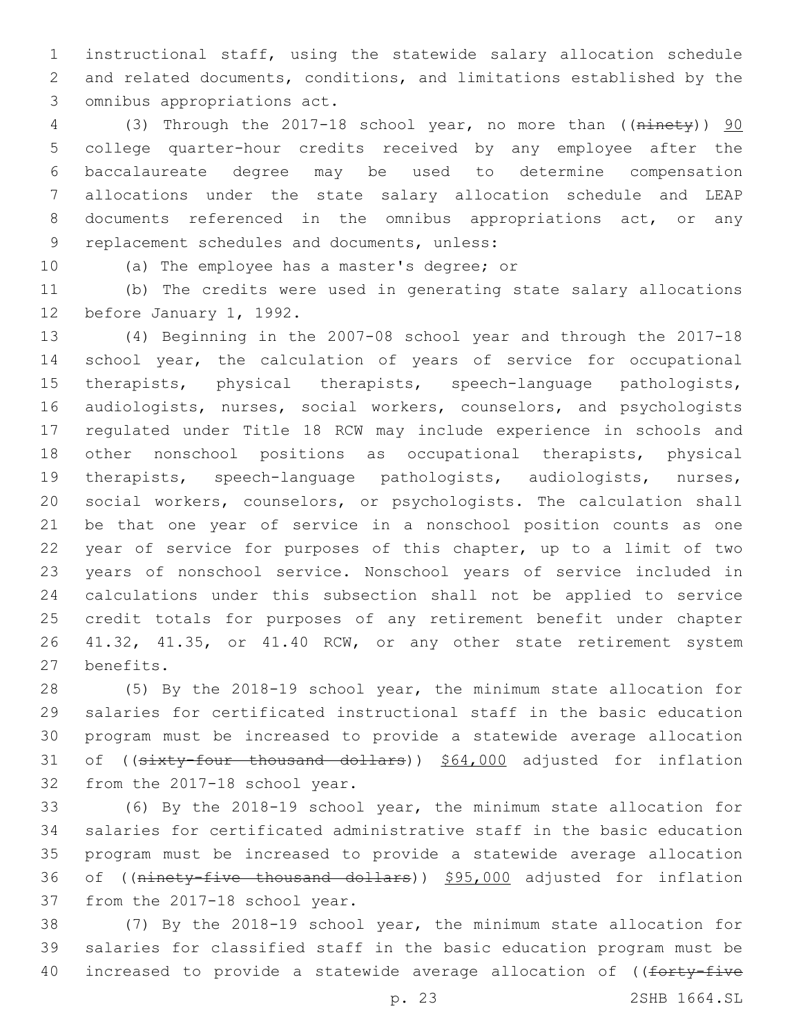instructional staff, using the statewide salary allocation schedule and related documents, conditions, and limitations established by the 3 omnibus appropriations act.

4 (3) Through the 2017-18 school year, no more than ((ninety)) 90 college quarter-hour credits received by any employee after the baccalaureate degree may be used to determine compensation allocations under the state salary allocation schedule and LEAP documents referenced in the omnibus appropriations act, or any 9 replacement schedules and documents, unless:

10 (a) The employee has a master's degree; or

 (b) The credits were used in generating state salary allocations 12 before January 1, 1992.

 (4) Beginning in the 2007-08 school year and through the 2017-18 school year, the calculation of years of service for occupational therapists, physical therapists, speech-language pathologists, audiologists, nurses, social workers, counselors, and psychologists regulated under Title 18 RCW may include experience in schools and other nonschool positions as occupational therapists, physical therapists, speech-language pathologists, audiologists, nurses, social workers, counselors, or psychologists. The calculation shall be that one year of service in a nonschool position counts as one year of service for purposes of this chapter, up to a limit of two years of nonschool service. Nonschool years of service included in calculations under this subsection shall not be applied to service credit totals for purposes of any retirement benefit under chapter 41.32, 41.35, or 41.40 RCW, or any other state retirement system 27 benefits.

 (5) By the 2018-19 school year, the minimum state allocation for salaries for certificated instructional staff in the basic education program must be increased to provide a statewide average allocation 31 of ((sixty-four thousand dollars)) \$64,000 adjusted for inflation 32 from the 2017-18 school year.

 (6) By the 2018-19 school year, the minimum state allocation for salaries for certificated administrative staff in the basic education program must be increased to provide a statewide average allocation 36 of ((ninety-five thousand dollars)) \$95,000 adjusted for inflation 37 from the 2017-18 school year.

 (7) By the 2018-19 school year, the minimum state allocation for salaries for classified staff in the basic education program must be 40 increased to provide a statewide average allocation of ((forty-five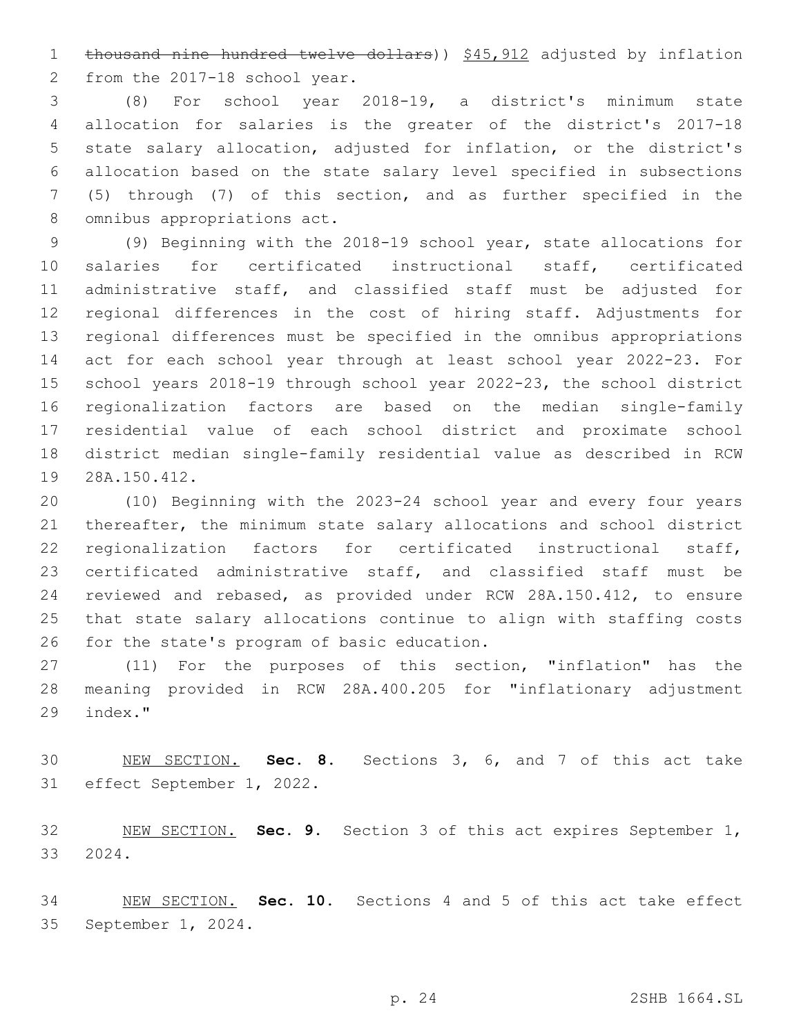1 thousand nine hundred twelve dollars)) \$45,912 adjusted by inflation 2 from the 2017-18 school year.

 (8) For school year 2018-19, a district's minimum state allocation for salaries is the greater of the district's 2017-18 state salary allocation, adjusted for inflation, or the district's allocation based on the state salary level specified in subsections (5) through (7) of this section, and as further specified in the 8 omnibus appropriations act.

 (9) Beginning with the 2018-19 school year, state allocations for salaries for certificated instructional staff, certificated administrative staff, and classified staff must be adjusted for regional differences in the cost of hiring staff. Adjustments for regional differences must be specified in the omnibus appropriations act for each school year through at least school year 2022-23. For school years 2018-19 through school year 2022-23, the school district regionalization factors are based on the median single-family residential value of each school district and proximate school district median single-family residential value as described in RCW 19 28A.150.412.

 (10) Beginning with the 2023-24 school year and every four years thereafter, the minimum state salary allocations and school district regionalization factors for certificated instructional staff, certificated administrative staff, and classified staff must be reviewed and rebased, as provided under RCW 28A.150.412, to ensure that state salary allocations continue to align with staffing costs 26 for the state's program of basic education.

 (11) For the purposes of this section, "inflation" has the meaning provided in RCW 28A.400.205 for "inflationary adjustment 29 index."

 NEW SECTION. **Sec. 8.** Sections 3, 6, and 7 of this act take effect September 1, 2022.

 NEW SECTION. **Sec. 9.** Section 3 of this act expires September 1, 2024.

 NEW SECTION. **Sec. 10.** Sections 4 and 5 of this act take effect September 1, 2024.